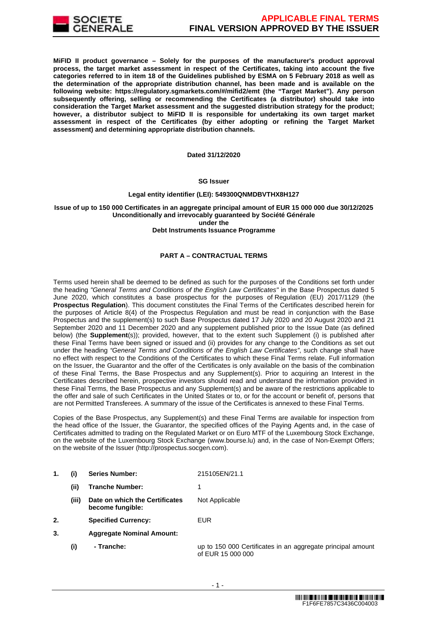

**MiFID II product governance – Solely for the purposes of the manufacturer's product approval process, the target market assessment in respect of the Certificates, taking into account the five categories referred to in item 18 of the Guidelines published by ESMA on 5 February 2018 as well as the determination of the appropriate distribution channel, has been made and is available on the following website: https://regulatory.sgmarkets.com/#/mifid2/emt (the "Target Market"). Any person subsequently offering, selling or recommending the Certificates (a distributor) should take into consideration the Target Market assessment and the suggested distribution strategy for the product; however, a distributor subject to MiFID II is responsible for undertaking its own target market assessment in respect of the Certificates (by either adopting or refining the Target Market assessment) and determining appropriate distribution channels.**

#### **Dated 31/12/2020**

#### **SG Issuer**

#### **Legal entity identifier (LEI): 549300QNMDBVTHX8H127**

# **Issue of up to 150 000 Certificates in an aggregate principal amount of EUR 15 000 000 due 30/12/2025 Unconditionally and irrevocably guaranteed by Société Générale under the**

#### **Debt Instruments Issuance Programme**

# **PART A – CONTRACTUAL TERMS**

Terms used herein shall be deemed to be defined as such for the purposes of the Conditions set forth under the heading "General Terms and Conditions of the English Law Certificates" in the Base Prospectus dated 5 June 2020, which constitutes a base prospectus for the purposes of Regulation (EU) 2017/1129 (the **Prospectus Regulation**). This document constitutes the Final Terms of the Certificates described herein for the purposes of Article 8(4) of the Prospectus Regulation and must be read in conjunction with the Base Prospectus and the supplement(s) to such Base Prospectus dated 17 July 2020 and 20 August 2020 and 21 September 2020 and 11 December 2020 and any supplement published prior to the Issue Date (as defined below) (the **Supplement**(s)); provided, however, that to the extent such Supplement (i) is published after these Final Terms have been signed or issued and (ii) provides for any change to the Conditions as set out under the heading "General Terms and Conditions of the English Law Certificates", such change shall have no effect with respect to the Conditions of the Certificates to which these Final Terms relate. Full information on the Issuer, the Guarantor and the offer of the Certificates is only available on the basis of the combination of these Final Terms, the Base Prospectus and any Supplement(s). Prior to acquiring an Interest in the Certificates described herein, prospective investors should read and understand the information provided in these Final Terms, the Base Prospectus and any Supplement(s) and be aware of the restrictions applicable to the offer and sale of such Certificates in the United States or to, or for the account or benefit of, persons that are not Permitted Transferees. A summary of the issue of the Certificates is annexed to these Final Terms.

Copies of the Base Prospectus, any Supplement(s) and these Final Terms are available for inspection from the head office of the Issuer, the Guarantor, the specified offices of the Paying Agents and, in the case of Certificates admitted to trading on the Regulated Market or on Euro MTF of the Luxembourg Stock Exchange, on the website of the Luxembourg Stock Exchange (www.bourse.lu) and, in the case of Non-Exempt Offers; on the website of the Issuer (http://prospectus.socgen.com).

- **1. (i) Series Number:** 215105EN/21.1 **(ii) Tranche Number:** 1
	- **(iii) Date on which the Certificates become fungible:** Not Applicable
- **2. Specified Currency:** EUR
- **3. Aggregate Nominal Amount:**
	- **(i) Tranche:** up to 150 000 Certificates in an aggregate principal amount of EUR 15 000 000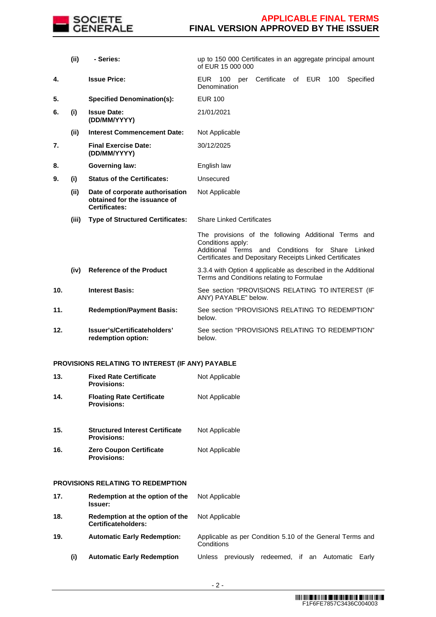

|     | (i)   | - Series:                                                                               | up to 150 000 Certificates in an aggregate principal amount<br>of EUR 15 000 000                                                                                                             |  |
|-----|-------|-----------------------------------------------------------------------------------------|----------------------------------------------------------------------------------------------------------------------------------------------------------------------------------------------|--|
| 4.  |       | <b>Issue Price:</b>                                                                     | Certificate<br>100<br>of EUR<br>Specified<br>EUR.<br>100<br>per<br>Denomination                                                                                                              |  |
| 5.  |       | <b>Specified Denomination(s):</b>                                                       | <b>EUR 100</b>                                                                                                                                                                               |  |
| 6.  | (i)   | <b>Issue Date:</b><br>(DD/MM/YYYY)                                                      | 21/01/2021                                                                                                                                                                                   |  |
|     | (ii)  | <b>Interest Commencement Date:</b>                                                      | Not Applicable                                                                                                                                                                               |  |
| 7.  |       | <b>Final Exercise Date:</b><br>(DD/MM/YYYY)                                             | 30/12/2025                                                                                                                                                                                   |  |
| 8.  |       | <b>Governing law:</b>                                                                   | English law                                                                                                                                                                                  |  |
| 9.  | (i)   | <b>Status of the Certificates:</b>                                                      | Unsecured                                                                                                                                                                                    |  |
|     | (ii)  | Date of corporate authorisation<br>obtained for the issuance of<br><b>Certificates:</b> | Not Applicable                                                                                                                                                                               |  |
|     | (iii) | <b>Type of Structured Certificates:</b>                                                 | <b>Share Linked Certificates</b>                                                                                                                                                             |  |
|     |       |                                                                                         | The provisions of the following Additional Terms and<br>Conditions apply:<br>Additional Terms and Conditions for Share<br>Linked<br>Certificates and Depositary Receipts Linked Certificates |  |
|     | (iv)  | <b>Reference of the Product</b>                                                         | 3.3.4 with Option 4 applicable as described in the Additional<br>Terms and Conditions relating to Formulae                                                                                   |  |
| 10. |       | <b>Interest Basis:</b>                                                                  | See section "PROVISIONS RELATING TO INTEREST (IF<br>ANY) PAYABLE" below.                                                                                                                     |  |
| 11. |       | <b>Redemption/Payment Basis:</b>                                                        | See section "PROVISIONS RELATING TO REDEMPTION"<br>below.                                                                                                                                    |  |
| 12. |       | Issuer's/Certificateholders'<br>redemption option:                                      | See section "PROVISIONS RELATING TO REDEMPTION"<br>below.                                                                                                                                    |  |

# **PROVISIONS RELATING TO INTEREST (IF ANY) PAYABLE**

| 13. | <b>Fixed Rate Certificate</b><br><b>Provisions:</b>          | Not Applicable                                                          |
|-----|--------------------------------------------------------------|-------------------------------------------------------------------------|
| 14. | <b>Floating Rate Certificate</b><br><b>Provisions:</b>       | Not Applicable                                                          |
| 15. | <b>Structured Interest Certificate</b><br><b>Provisions:</b> | Not Applicable                                                          |
| 16. | <b>Zero Coupon Certificate</b><br><b>Provisions:</b>         | Not Applicable                                                          |
|     | <b>PROVISIONS RELATING TO REDEMPTION</b>                     |                                                                         |
| 17. | Redemption at the option of the<br><b>Issuer:</b>            | Not Applicable                                                          |
| 18. | Redemption at the option of the<br>Certificateholders:       | Not Applicable                                                          |
| 19. | <b>Automatic Early Redemption:</b>                           | Applicable as per Condition 5.10 of the General Terms and<br>Conditions |
| (i) | <b>Automatic Early Redemption</b>                            | Unless previously redeemed, if an Automatic<br>Early                    |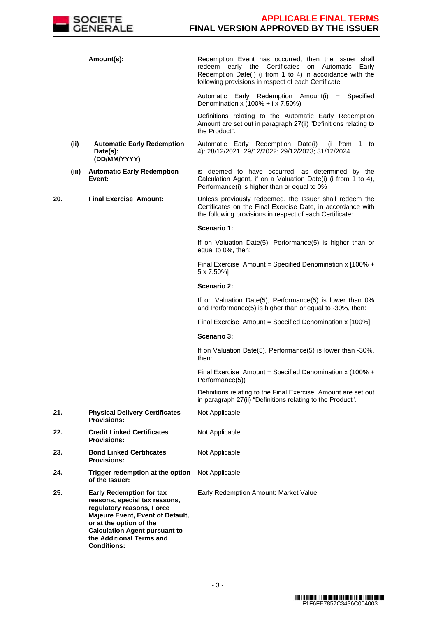

|     |       | Amount(s):                                                                                                                                                                                                                                             | Redemption Event has occurred, then the Issuer shall<br>early the Certificates<br>redeem<br>on<br>Automatic<br>Early<br>Redemption Date(i) (i from 1 to 4) in accordance with the<br>following provisions in respect of each Certificate: |
|-----|-------|--------------------------------------------------------------------------------------------------------------------------------------------------------------------------------------------------------------------------------------------------------|-------------------------------------------------------------------------------------------------------------------------------------------------------------------------------------------------------------------------------------------|
|     |       |                                                                                                                                                                                                                                                        | Automatic Early Redemption Amount(i) = Specified<br>Denomination x $(100% + i x 7.50%)$                                                                                                                                                   |
|     |       |                                                                                                                                                                                                                                                        | Definitions relating to the Automatic Early Redemption<br>Amount are set out in paragraph 27(ii) "Definitions relating to<br>the Product".                                                                                                |
|     | (ii)  | <b>Automatic Early Redemption</b><br>Date(s):<br>(DD/MM/YYYY)                                                                                                                                                                                          | Automatic Early Redemption Date(i)<br>(i from 1 to<br>4): 28/12/2021; 29/12/2022; 29/12/2023; 31/12/2024                                                                                                                                  |
|     | (iii) | <b>Automatic Early Redemption</b><br>Event:                                                                                                                                                                                                            | is deemed to have occurred, as determined by the<br>Calculation Agent, if on a Valuation Date(i) (i from 1 to 4),<br>Performance(i) is higher than or equal to 0%                                                                         |
| 20. |       | <b>Final Exercise Amount:</b>                                                                                                                                                                                                                          | Unless previously redeemed, the Issuer shall redeem the<br>Certificates on the Final Exercise Date, in accordance with<br>the following provisions in respect of each Certificate:                                                        |
|     |       |                                                                                                                                                                                                                                                        | Scenario 1:                                                                                                                                                                                                                               |
|     |       |                                                                                                                                                                                                                                                        | If on Valuation Date(5), Performance(5) is higher than or<br>equal to 0%, then:                                                                                                                                                           |
|     |       |                                                                                                                                                                                                                                                        | Final Exercise Amount = Specified Denomination x $[100\% +$<br>5 x 7.50%]                                                                                                                                                                 |
|     |       |                                                                                                                                                                                                                                                        | Scenario 2:                                                                                                                                                                                                                               |
|     |       |                                                                                                                                                                                                                                                        | If on Valuation Date(5), Performance(5) is lower than 0%<br>and Performance(5) is higher than or equal to -30%, then:                                                                                                                     |
|     |       |                                                                                                                                                                                                                                                        | Final Exercise Amount = Specified Denomination x [100%]                                                                                                                                                                                   |
|     |       |                                                                                                                                                                                                                                                        | Scenario 3:                                                                                                                                                                                                                               |
|     |       |                                                                                                                                                                                                                                                        | If on Valuation Date(5), Performance(5) is lower than -30%,<br>then:                                                                                                                                                                      |
|     |       |                                                                                                                                                                                                                                                        | Final Exercise Amount = Specified Denomination x (100% +<br>Performance(5))                                                                                                                                                               |
|     |       |                                                                                                                                                                                                                                                        | Definitions relating to the Final Exercise Amount are set out<br>in paragraph 27(ii) "Definitions relating to the Product".                                                                                                               |
| 21. |       | <b>Physical Delivery Certificates</b><br><b>Provisions:</b>                                                                                                                                                                                            | Not Applicable                                                                                                                                                                                                                            |
| 22. |       | <b>Credit Linked Certificates</b><br><b>Provisions:</b>                                                                                                                                                                                                | Not Applicable                                                                                                                                                                                                                            |
| 23. |       | <b>Bond Linked Certificates</b><br><b>Provisions:</b>                                                                                                                                                                                                  | Not Applicable                                                                                                                                                                                                                            |
| 24. |       | Trigger redemption at the option<br>of the Issuer:                                                                                                                                                                                                     | Not Applicable                                                                                                                                                                                                                            |
| 25. |       | <b>Early Redemption for tax</b><br>reasons, special tax reasons,<br>regulatory reasons, Force<br>Majeure Event, Event of Default,<br>or at the option of the<br><b>Calculation Agent pursuant to</b><br>the Additional Terms and<br><b>Conditions:</b> | Early Redemption Amount: Market Value                                                                                                                                                                                                     |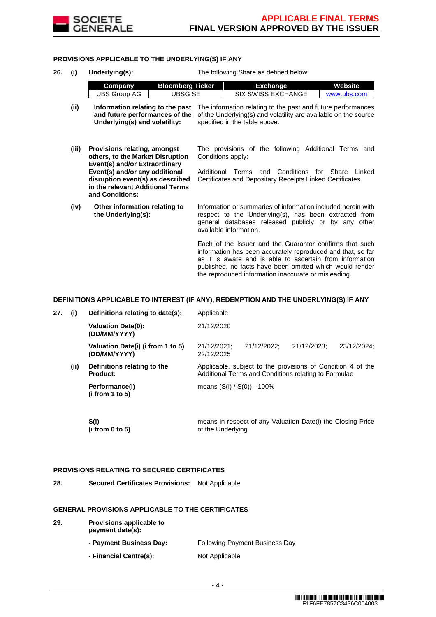

# **PROVISIONS APPLICABLE TO THE UNDERLYING(S) IF ANY**

| 26.<br>(i) |       | Underlying(s):                                                                                                                                                                                                                        | The following Share as defined below:                                                                                                                                                                                                                                                                  |  |  |
|------------|-------|---------------------------------------------------------------------------------------------------------------------------------------------------------------------------------------------------------------------------------------|--------------------------------------------------------------------------------------------------------------------------------------------------------------------------------------------------------------------------------------------------------------------------------------------------------|--|--|
|            |       | <b>Bloomberg Ticker</b><br>Company                                                                                                                                                                                                    | <b>Exchange</b><br>Website                                                                                                                                                                                                                                                                             |  |  |
|            |       | UBSG SE<br>UBS Group AG                                                                                                                                                                                                               | <b>SIX SWISS EXCHANGE</b><br>www.ubs.com                                                                                                                                                                                                                                                               |  |  |
|            | (ii)  | Information relating to the past<br>and future performances of the<br>Underlying(s) and volatility:                                                                                                                                   | The information relating to the past and future performances<br>of the Underlying(s) and volatility are available on the source<br>specified in the table above.                                                                                                                                       |  |  |
|            | (iii) | <b>Provisions relating, amongst</b><br>others, to the Market Disruption<br>Event(s) and/or Extraordinary<br>Event(s) and/or any additional<br>disruption event(s) as described<br>in the relevant Additional Terms<br>and Conditions: | The provisions of the following Additional Terms and<br>Conditions apply:<br>Terms and Conditions<br>Additional<br>for Share<br>Linked<br>Certificates and Depositary Receipts Linked Certificates                                                                                                     |  |  |
|            | (iv)  | Other information relating to<br>the Underlying(s):                                                                                                                                                                                   | Information or summaries of information included herein with<br>respect to the Underlying(s), has been extracted from<br>general databases released publicly or by any other<br>available information.                                                                                                 |  |  |
|            |       |                                                                                                                                                                                                                                       | Each of the Issuer and the Guarantor confirms that such<br>information has been accurately reproduced and that, so far<br>as it is aware and is able to ascertain from information<br>published, no facts have been omitted which would render<br>the reproduced information inaccurate or misleading. |  |  |

# **DEFINITIONS APPLICABLE TO INTEREST (IF ANY), REDEMPTION AND THE UNDERLYING(S) IF ANY**

| 27. | (i)  | Definitions relating to date(s):                  | Applicable                                                                                                          |             |             |             |
|-----|------|---------------------------------------------------|---------------------------------------------------------------------------------------------------------------------|-------------|-------------|-------------|
|     |      | <b>Valuation Date(0):</b><br>(DD/MM/YYYY)         | 21/12/2020                                                                                                          |             |             |             |
|     |      | Valuation Date(i) (i from 1 to 5)<br>(DD/MM/YYYY) | 21/12/2021:<br>22/12/2025                                                                                           | 21/12/2022: | 21/12/2023: | 23/12/2024: |
|     | (ii) | Definitions relating to the<br><b>Product:</b>    | Applicable, subject to the provisions of Condition 4 of the<br>Additional Terms and Conditions relating to Formulae |             |             |             |
|     |      | Performance(i)<br>(i from 1 to 5)                 | means $(S(i) / S(0)) - 100\%$                                                                                       |             |             |             |
|     |      |                                                   |                                                                                                                     |             |             |             |

| S(i)            | means in respect of any Valuation Date(i) the Closing Price |
|-----------------|-------------------------------------------------------------|
| (i from 0 to 5) | of the Underlying                                           |

# **PROVISIONS RELATING TO SECURED CERTIFICATES**

**28. Secured Certificates Provisions:** Not Applicable

# **GENERAL PROVISIONS APPLICABLE TO THE CERTIFICATES**

| 29. | Provisions applicable to<br>payment date(s): |                                       |  |  |
|-----|----------------------------------------------|---------------------------------------|--|--|
|     | - Payment Business Day:                      | <b>Following Payment Business Day</b> |  |  |
|     | - Financial Centre(s):                       | Not Applicable                        |  |  |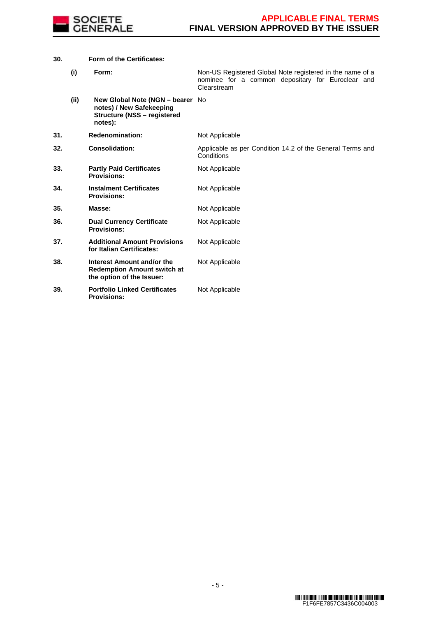

# **30. Form of the Certificates:**

|     | (i)  | Form:                                                                                                         | Non-US Registered Global Note registered in the name of a<br>nominee for a common depositary for Euroclear and<br>Clearstream |
|-----|------|---------------------------------------------------------------------------------------------------------------|-------------------------------------------------------------------------------------------------------------------------------|
|     | (ii) | New Global Note (NGN - bearer No<br>notes) / New Safekeeping<br><b>Structure (NSS - registered</b><br>notes): |                                                                                                                               |
| 31. |      | <b>Redenomination:</b>                                                                                        | Not Applicable                                                                                                                |
| 32. |      | <b>Consolidation:</b>                                                                                         | Applicable as per Condition 14.2 of the General Terms and<br>Conditions                                                       |
| 33. |      | <b>Partly Paid Certificates</b><br><b>Provisions:</b>                                                         | Not Applicable                                                                                                                |
| 34. |      | <b>Instalment Certificates</b><br><b>Provisions:</b>                                                          | Not Applicable                                                                                                                |
| 35. |      | Masse:                                                                                                        | Not Applicable                                                                                                                |
| 36. |      | <b>Dual Currency Certificate</b><br><b>Provisions:</b>                                                        | Not Applicable                                                                                                                |
| 37. |      | <b>Additional Amount Provisions</b><br>for Italian Certificates:                                              | Not Applicable                                                                                                                |
| 38. |      | Interest Amount and/or the<br><b>Redemption Amount switch at</b><br>the option of the Issuer:                 | Not Applicable                                                                                                                |
| 39. |      | <b>Portfolio Linked Certificates</b><br><b>Provisions:</b>                                                    | Not Applicable                                                                                                                |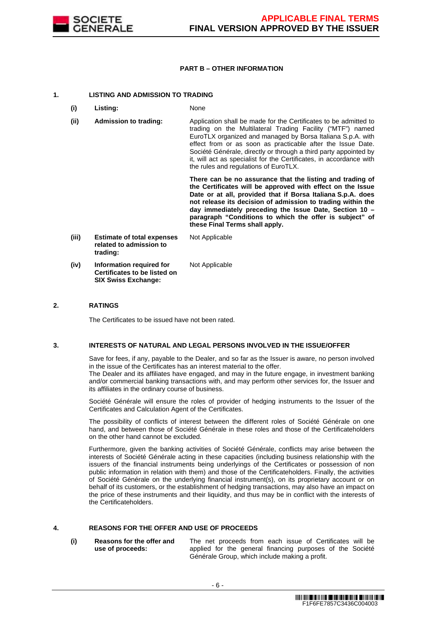

# **PART B – OTHER INFORMATION**

#### **1. LISTING AND ADMISSION TO TRADING**

- **(i) Listing:** None
- **(ii) Admission to trading:** Application shall be made for the Certificates to be admitted to trading on the Multilateral Trading Facility ("MTF") named EuroTLX organized and managed by Borsa Italiana S.p.A. with effect from or as soon as practicable after the Issue Date. Société Générale, directly or through a third party appointed by it, will act as specialist for the Certificates, in accordance with the rules and regulations of EuroTLX.

 **There can be no assurance that the listing and trading of the Certificates will be approved with effect on the Issue Date or at all, provided that if Borsa Italiana S.p.A. does not release its decision of admission to trading within the day immediately preceding the Issue Date, Section 10 – paragraph "Conditions to which the offer is subject" of these Final Terms shall apply.**

**(iii) Estimate of total expenses related to admission to trading:** Not Applicable **(iv) Information required for Certificates to be listed on SIX Swiss Exchange:** Not Applicable

# **2. RATINGS**

The Certificates to be issued have not been rated.

#### **3. INTERESTS OF NATURAL AND LEGAL PERSONS INVOLVED IN THE ISSUE/OFFER**

 Save for fees, if any, payable to the Dealer, and so far as the Issuer is aware, no person involved in the issue of the Certificates has an interest material to the offer.

The Dealer and its affiliates have engaged, and may in the future engage, in investment banking and/or commercial banking transactions with, and may perform other services for, the Issuer and its affiliates in the ordinary course of business.

 Société Générale will ensure the roles of provider of hedging instruments to the Issuer of the Certificates and Calculation Agent of the Certificates.

 The possibility of conflicts of interest between the different roles of Société Générale on one hand, and between those of Société Générale in these roles and those of the Certificateholders on the other hand cannot be excluded.

 Furthermore, given the banking activities of Société Générale, conflicts may arise between the interests of Société Générale acting in these capacities (including business relationship with the issuers of the financial instruments being underlyings of the Certificates or possession of non public information in relation with them) and those of the Certificateholders. Finally, the activities of Société Générale on the underlying financial instrument(s), on its proprietary account or on behalf of its customers, or the establishment of hedging transactions, may also have an impact on the price of these instruments and their liquidity, and thus may be in conflict with the interests of the Certificateholders.

# **4. REASONS FOR THE OFFER AND USE OF PROCEEDS**

**(i) Reasons for the offer and use of proceeds:**

The net proceeds from each issue of Certificates will be applied for the general financing purposes of the Société Générale Group, which include making a profit.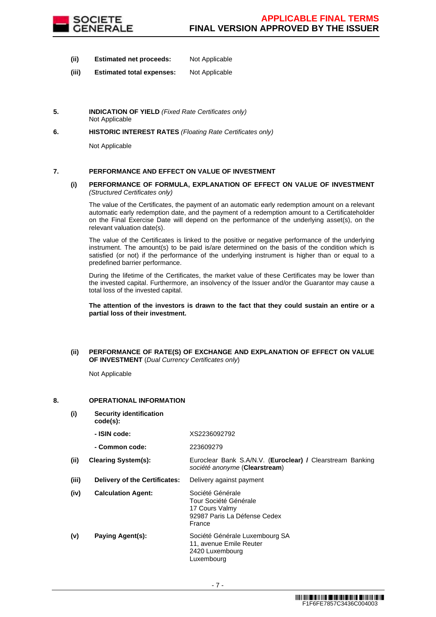

- **(ii) Estimated net proceeds:** Not Applicable
- **(iii) Estimated total expenses:** Not Applicable
- **5. INDICATION OF YIELD** (Fixed Rate Certificates only) Not Applicable
- **6. HISTORIC INTEREST RATES** (Floating Rate Certificates only)

Not Applicable

# **7. PERFORMANCE AND EFFECT ON VALUE OF INVESTMENT**

#### **(i) PERFORMANCE OF FORMULA, EXPLANATION OF EFFECT ON VALUE OF INVESTMENT**  (Structured Certificates only)

 The value of the Certificates, the payment of an automatic early redemption amount on a relevant automatic early redemption date, and the payment of a redemption amount to a Certificateholder on the Final Exercise Date will depend on the performance of the underlying asset(s), on the relevant valuation date(s).

 The value of the Certificates is linked to the positive or negative performance of the underlying instrument. The amount(s) to be paid is/are determined on the basis of the condition which is satisfied (or not) if the performance of the underlying instrument is higher than or equal to a predefined barrier performance.

 During the lifetime of the Certificates, the market value of these Certificates may be lower than the invested capital. Furthermore, an insolvency of the Issuer and/or the Guarantor may cause a total loss of the invested capital.

**The attention of the investors is drawn to the fact that they could sustain an entire or a partial loss of their investment.**

# **(ii) PERFORMANCE OF RATE(S) OF EXCHANGE AND EXPLANATION OF EFFECT ON VALUE OF INVESTMENT** (Dual Currency Certificates only)

Not Applicable

# **8. OPERATIONAL INFORMATION**

**(i) Security identification** 

**- ISIN code:** XS2236092792

**code(s):**

|       | - Common code:                       | 223609279                                                                                             |
|-------|--------------------------------------|-------------------------------------------------------------------------------------------------------|
| (ii)  | <b>Clearing System(s):</b>           | Euroclear Bank S.A/N.V. (Euroclear) / Clearstream Banking<br>société anonyme (Clearstream)            |
| (iii) | <b>Delivery of the Certificates:</b> | Delivery against payment                                                                              |
| (iv)  | <b>Calculation Agent:</b>            | Société Générale<br>Tour Société Générale<br>17 Cours Valmy<br>92987 Paris La Défense Cedex<br>France |
| (v)   | <b>Paying Agent(s):</b>              | Société Générale Luxembourg SA<br>11, avenue Emile Reuter<br>2420 Luxembourg<br>Luxembourg            |
|       |                                      |                                                                                                       |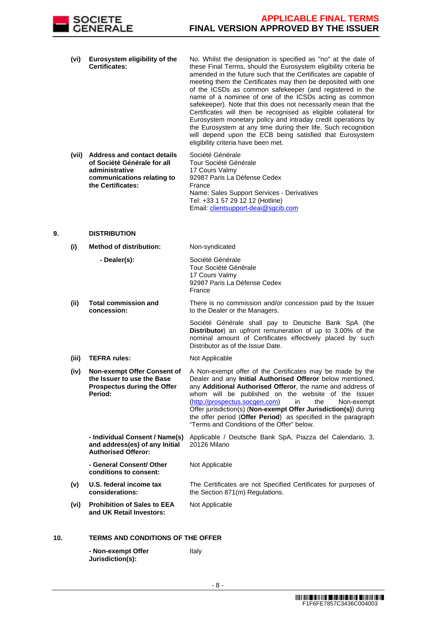

- **(vi) Eurosystem eligibility of the Certificates:** No. Whilst the designation is specified as "no" at the date of these Final Terms, should the Eurosystem eligibility criteria be amended in the future such that the Certificates are capable of meeting them the Certificates may then be deposited with one of the ICSDs as common safekeeper (and registered in the name of a nominee of one of the ICSDs acting as common safekeeper). Note that this does not necessarily mean that the Certificates will then be recognised as eligible collateral for Eurosystem monetary policy and intraday credit operations by the Eurosystem at any time during their life. Such recognition will depend upon the ECB being satisfied that Eurosystem eligibility criteria have been met.
- **(vii) Address and contact details of Société Générale for all administrative communications relating to the Certificates:** Société Générale Tour Société Générale 17 Cours Valmy 92987 Paris La Défense Cedex France Name: Sales Support Services - Derivatives Tel: +33 1 57 29 12 12 (Hotline) Email: clientsupport-deai@sgcib.com

# **9. DISTRIBUTION**

- **(i) Method of distribution:** Non-syndicated **- Dealer(s):** Société Générale Tour Société Générale 17 Cours Valmy 92987 Paris La Défense Cedex France **(ii) Total commission and concession:** There is no commission and/or concession paid by the Issuer to the Dealer or the Managers. Société Générale shall pay to Deutsche Bank SpA (the **Distributor**) an upfront remuneration of up to 3.00% of the nominal amount of Certificates effectively placed by such Distributor as of the Issue Date. **(iii) TEFRA rules:** Not Applicable **(iv) Non-exempt Offer Consent of the Issuer to use the Base Prospectus during the Offer Period:** A Non-exempt offer of the Certificates may be made by the Dealer and any **Initial Authorised Offeror** below mentioned, any **Additional Authorised Offeror**, the name and address of whom will be published on the website of the Issuer (http://prospectus.socgen.com) in the Non-exempt Offer jurisdiction(s) (**Non-exempt Offer Jurisdiction(s)**) during the offer period (**Offer Period**) as specified in the paragraph "Terms and Conditions of the Offer" below. **- Individual Consent / Name(s) and address(es) of any Initial Authorised Offeror:** Applicable / Deutsche Bank SpA, Piazza del Calendario, 3, 20126 Milano **- General Consent/ Other conditions to consent:** Not Applicable **(v) U.S. federal income tax considerations:** The Certificates are not Specified Certificates for purposes of the Section 871(m) Regulations. **(vi) Prohibition of Sales to EEA and UK Retail Investors:** Not Applicable **10. TERMS AND CONDITIONS OF THE OFFER**
	- **Non-exempt Offer Jurisdiction(s):** Italy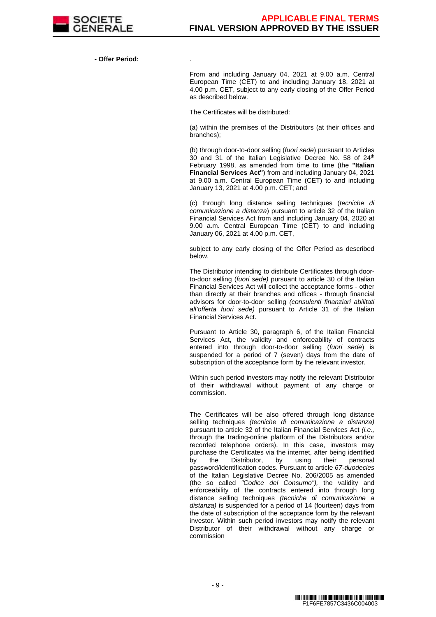

**- Offer Period:** .

From and including January 04, 2021 at 9.00 a.m. Central European Time (CET) to and including January 18, 2021 at 4.00 p.m. CET, subject to any early closing of the Offer Period as described below.

The Certificates will be distributed:

(a) within the premises of the Distributors (at their offices and branches);

(b) through door-to-door selling (fuori sede) pursuant to Articles 30 and 31 of the Italian Legislative Decree No. 58 of  $24<sup>th</sup>$ February 1998, as amended from time to time (the **"Italian Financial Services Act"**) from and including January 04, 2021 at 9.00 a.m. Central European Time (CET) to and including January 13, 2021 at 4.00 p.m. CET; and

(c) through long distance selling techniques (tecniche di comunicazione a distanza) pursuant to article 32 of the Italian Financial Services Act from and including January 04, 2020 at 9.00 a.m. Central European Time (CET) to and including January 06, 2021 at 4.00 p.m. CET,

subject to any early closing of the Offer Period as described below.

The Distributor intending to distribute Certificates through doorto-door selling (fuori sede) pursuant to article 30 of the Italian Financial Services Act will collect the acceptance forms - other than directly at their branches and offices - through financial advisors for door-to-door selling (consulenti finanziari abilitati all'offerta fuori sede) pursuant to Article 31 of the Italian Financial Services Act.

Pursuant to Article 30, paragraph 6, of the Italian Financial Services Act, the validity and enforceability of contracts entered into through door-to-door selling (fuori sede) is suspended for a period of 7 (seven) days from the date of subscription of the acceptance form by the relevant investor.

Within such period investors may notify the relevant Distributor of their withdrawal without payment of any charge or commission.

The Certificates will be also offered through long distance selling techniques *(tecniche di comunicazione a distanza)* pursuant to article 32 of the Italian Financial Services Act *(i.e.,* through the trading-online platform of the Distributors and/or recorded telephone orders). In this case, investors may purchase the Certificates via the internet, after being identified by the Distributor, by using their personal password/identification codes. Pursuant to article 67-duodecies of the Italian Legislative Decree No. 206/2005 as amended (the so called "Codice del Consumo"), the validity and enforceability of the contracts entered into through long distance selling techniques (tecniche di comunicazione a distanza) is suspended for a period of 14 (fourteen) days from the date of subscription of the acceptance form by the relevant investor. Within such period investors may notify the relevant Distributor of their withdrawal without any charge or commission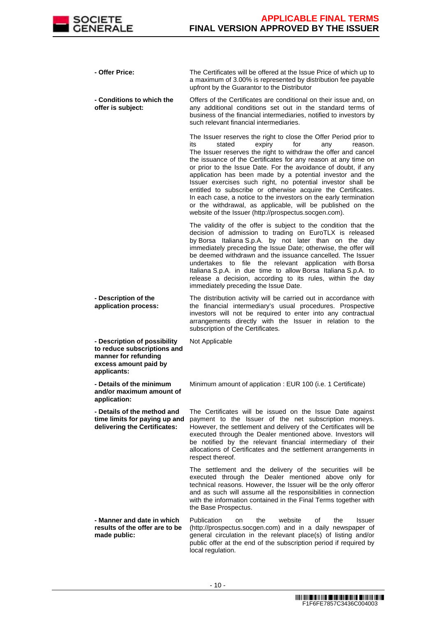

| - Offer Price:                                                                                                              | The Certificates will be offered at the Issue Price of which up to<br>a maximum of 3.00% is represented by distribution fee payable<br>upfront by the Guarantor to the Distributor                                                                                                                                                                                                                                                                                                                                                                                                                                                                                                                                |
|-----------------------------------------------------------------------------------------------------------------------------|-------------------------------------------------------------------------------------------------------------------------------------------------------------------------------------------------------------------------------------------------------------------------------------------------------------------------------------------------------------------------------------------------------------------------------------------------------------------------------------------------------------------------------------------------------------------------------------------------------------------------------------------------------------------------------------------------------------------|
| - Conditions to which the<br>offer is subject:                                                                              | Offers of the Certificates are conditional on their issue and, on<br>any additional conditions set out in the standard terms of<br>business of the financial intermediaries, notified to investors by<br>such relevant financial intermediaries.                                                                                                                                                                                                                                                                                                                                                                                                                                                                  |
|                                                                                                                             | The Issuer reserves the right to close the Offer Period prior to<br>its<br>stated<br>expiry<br>for<br>any<br>reason.<br>The Issuer reserves the right to withdraw the offer and cancel<br>the issuance of the Certificates for any reason at any time on<br>or prior to the Issue Date. For the avoidance of doubt, if any<br>application has been made by a potential investor and the<br>Issuer exercises such right, no potential investor shall be<br>entitled to subscribe or otherwise acquire the Certificates.<br>In each case, a notice to the investors on the early termination<br>or the withdrawal, as applicable, will be published on the<br>website of the Issuer (http://prospectus.socgen.com). |
|                                                                                                                             | The validity of the offer is subject to the condition that the<br>decision of admission to trading on EuroTLX is released<br>by Borsa Italiana S.p.A. by not later than on the day<br>immediately preceding the Issue Date; otherwise, the offer will<br>be deemed withdrawn and the issuance cancelled. The Issuer<br>undertakes to file the relevant application with Borsa<br>Italiana S.p.A. in due time to allow Borsa Italiana S.p.A. to<br>release a decision, according to its rules, within the day<br>immediately preceding the Issue Date.                                                                                                                                                             |
| - Description of the<br>application process:                                                                                | The distribution activity will be carried out in accordance with<br>the financial intermediary's usual procedures. Prospective<br>investors will not be required to enter into any contractual<br>arrangements directly with the Issuer in relation to the<br>subscription of the Certificates.                                                                                                                                                                                                                                                                                                                                                                                                                   |
| - Description of possibility<br>to reduce subscriptions and<br>manner for refunding<br>excess amount paid by<br>applicants: | Not Applicable                                                                                                                                                                                                                                                                                                                                                                                                                                                                                                                                                                                                                                                                                                    |
| - Details of the minimum<br>and/or maximum amount of<br>application:                                                        | Minimum amount of application : EUR 100 (i.e. 1 Certificate)                                                                                                                                                                                                                                                                                                                                                                                                                                                                                                                                                                                                                                                      |
| - Details of the method and<br>time limits for paying up and<br>delivering the Certificates:                                | The Certificates will be issued on the Issue Date against<br>payment to the Issuer of the net subscription moneys.<br>However, the settlement and delivery of the Certificates will be<br>executed through the Dealer mentioned above. Investors will<br>be notified by the relevant financial intermediary of their<br>allocations of Certificates and the settlement arrangements in<br>respect thereof.                                                                                                                                                                                                                                                                                                        |
|                                                                                                                             | The settlement and the delivery of the securities will be<br>executed through the Dealer mentioned above only for<br>technical reasons. However, the Issuer will be the only offeror<br>and as such will assume all the responsibilities in connection<br>with the information contained in the Final Terms together with<br>the Base Prospectus.                                                                                                                                                                                                                                                                                                                                                                 |
| - Manner and date in which<br>results of the offer are to be<br>made public:                                                | Publication<br>website<br>the<br>οf<br>the<br><b>Issuer</b><br>on<br>(http://prospectus.socgen.com) and in a daily newspaper of<br>general circulation in the relevant place(s) of listing and/or<br>public offer at the end of the subscription period if required by<br>local regulation.                                                                                                                                                                                                                                                                                                                                                                                                                       |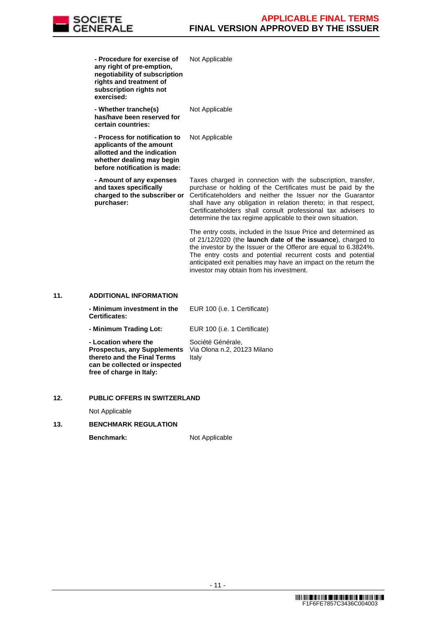

| - Procedure for exercise of<br>any right of pre-emption,<br>negotiability of subscription<br>rights and treatment of<br>subscription rights not<br>exercised: | Not Applicable                                                                                                                                                                                                                                                                                                                                                                                |
|---------------------------------------------------------------------------------------------------------------------------------------------------------------|-----------------------------------------------------------------------------------------------------------------------------------------------------------------------------------------------------------------------------------------------------------------------------------------------------------------------------------------------------------------------------------------------|
| - Whether tranche(s)<br>has/have been reserved for<br>certain countries:                                                                                      | Not Applicable                                                                                                                                                                                                                                                                                                                                                                                |
| - Process for notification to<br>applicants of the amount<br>allotted and the indication<br>whether dealing may begin<br>before notification is made:         | Not Applicable                                                                                                                                                                                                                                                                                                                                                                                |
| - Amount of any expenses<br>and taxes specifically<br>charged to the subscriber or<br>purchaser:                                                              | Taxes charged in connection with the subscription, transfer,<br>purchase or holding of the Certificates must be paid by the<br>Certificateholders and neither the Issuer nor the Guarantor<br>shall have any obligation in relation thereto; in that respect,<br>Certificateholders shall consult professional tax advisers to<br>determine the tax regime applicable to their own situation. |
|                                                                                                                                                               | The entry costs, included in the Issue Price and determined as<br>of 21/12/2020 (the launch date of the issuance), charged to<br>the investor by the Issuer or the Offeror are equal to 6.3824%.<br>The entry costs and potential recurrent costs and potential<br>anticipated exit penalties may have an impact on the return the                                                            |

investor may obtain from his investment.

# **11. ADDITIONAL INFORMATION**

| - Minimum investment in the<br><b>Certificates:</b>                                                                                                    | EUR 100 (i.e. 1 Certificate)                              |
|--------------------------------------------------------------------------------------------------------------------------------------------------------|-----------------------------------------------------------|
| - Minimum Trading Lot:                                                                                                                                 | EUR 100 (i.e. 1 Certificate)                              |
| - Location where the<br><b>Prospectus, any Supplements</b><br>thereto and the Final Terms<br>can be collected or inspected<br>free of charge in Italy: | Société Générale,<br>Via Olona n.2, 20123 Milano<br>Italy |

# **12. PUBLIC OFFERS IN SWITZERLAND**

Not Applicable

# **13. BENCHMARK REGULATION**

**Benchmark:** Not Applicable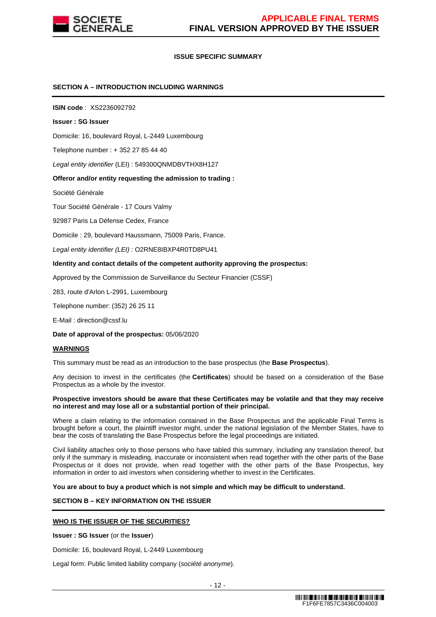

# **ISSUE SPECIFIC SUMMARY**

# **SECTION A – INTRODUCTION INCLUDING WARNINGS**

**ISIN code** : XS2236092792

#### **Issuer : SG Issuer**

Domicile: 16, boulevard Royal, L-2449 Luxembourg

Telephone number : + 352 27 85 44 40

Legal entity identifier (LEI) : 549300QNMDBVTHX8H127

#### **Offeror and/or entity requesting the admission to trading :**

Société Générale

Tour Société Générale - 17 Cours Valmy

92987 Paris La Défense Cedex, France

Domicile : 29, boulevard Haussmann, 75009 Paris, France.

Legal entity identifier (LEI) : O2RNE8IBXP4R0TD8PU41

#### **Identity and contact details of the competent authority approving the prospectus:**

Approved by the Commission de Surveillance du Secteur Financier (CSSF)

283, route d'Arlon L-2991, Luxembourg

Telephone number: (352) 26 25 11

E-Mail : direction@cssf.lu

**Date of approval of the prospectus:** 05/06/2020

#### **WARNINGS**

This summary must be read as an introduction to the base prospectus (the **Base Prospectus**).

Any decision to invest in the certificates (the **Certificates**) should be based on a consideration of the Base Prospectus as a whole by the investor.

#### **Prospective investors should be aware that these Certificates may be volatile and that they may receive no interest and may lose all or a substantial portion of their principal.**

Where a claim relating to the information contained in the Base Prospectus and the applicable Final Terms is brought before a court, the plaintiff investor might, under the national legislation of the Member States, have to bear the costs of translating the Base Prospectus before the legal proceedings are initiated.

Civil liability attaches only to those persons who have tabled this summary, including any translation thereof, but only if the summary is misleading, inaccurate or inconsistent when read together with the other parts of the Base Prospectus or it does not provide, when read together with the other parts of the Base Prospectus, key information in order to aid investors when considering whether to invest in the Certificates.

**You are about to buy a product which is not simple and which may be difficult to understand.**

# **SECTION B – KEY INFORMATION ON THE ISSUER**

#### **WHO IS THE ISSUER OF THE SECURITIES?**

**Issuer : SG Issuer** (or the **Issuer**)

Domicile: 16, boulevard Royal, L-2449 Luxembourg

Legal form: Public limited liability company (société anonyme).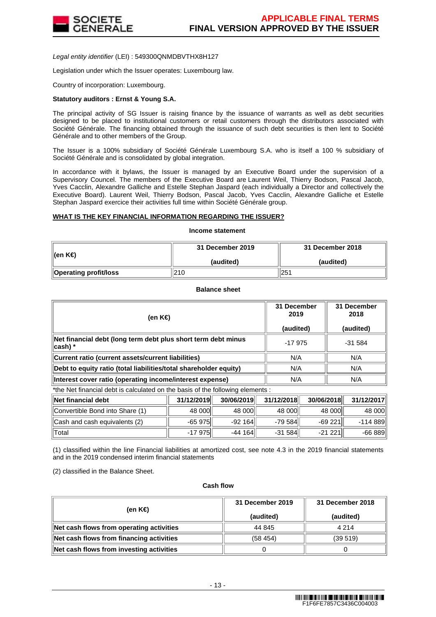

Legal entity identifier (LEI) : 549300QNMDBVTHX8H127

Legislation under which the Issuer operates: Luxembourg law.

Country of incorporation: Luxembourg.

#### **Statutory auditors : Ernst & Young S.A.**

The principal activity of SG Issuer is raising finance by the issuance of warrants as well as debt securities designed to be placed to institutional customers or retail customers through the distributors associated with Société Générale. The financing obtained through the issuance of such debt securities is then lent to Société Générale and to other members of the Group.

The Issuer is a 100% subsidiary of Société Générale Luxembourg S.A. who is itself a 100 % subsidiary of Société Générale and is consolidated by global integration.

In accordance with it bylaws, the Issuer is managed by an Executive Board under the supervision of a Supervisory Councel. The members of the Executive Board are Laurent Weil, Thierry Bodson, Pascal Jacob, Yves Cacclin, Alexandre Galliche and Estelle Stephan Jaspard (each individually a Director and collectively the Executive Board). Laurent Weil, Thierry Bodson, Pascal Jacob, Yves Cacclin, Alexandre Galliche et Estelle Stephan Jaspard exercice their activities full time within Société Générale group.

#### **WHAT IS THE KEY FINANCIAL INFORMATION REGARDING THE ISSUER?**

**Income statement**

| ∥(en K€)              | 31 December 2019 | 31 December 2018 |  |
|-----------------------|------------------|------------------|--|
|                       | (audited)        | (audited)        |  |
| Operating profit/loss | 210              | 251              |  |

**Balance sheet**

| (en K€)                                                                  | 31 December<br>2019<br>(audited) | 31 December<br>2018<br>(audited) |
|--------------------------------------------------------------------------|----------------------------------|----------------------------------|
| Net financial debt (long term debt plus short term debt minus<br>cash) * | $-17975$                         | $-31584$                         |
| Current ratio (current assets/current liabilities)                       | N/A                              | N/A                              |
| Debt to equity ratio (total liabilities/total shareholder equity)        | N/A                              | N/A                              |
| Interest cover ratio (operating income/interest expense)                 | N/A                              | N/A                              |

\*the Net financial debt is calculated on the basis of the following elements :

| ∥Net financial debt             | 31/12/2019 | 30/06/2019 | 31/12/2018 | 30/06/2018 | 31/12/2017 |
|---------------------------------|------------|------------|------------|------------|------------|
| Convertible Bond into Share (1) | 48 000     | 48 000     | 48 000     | 48 000     | 48 000     |
| Cash and cash equivalents (2)   | $-65975$   | $-92164$   | $-79584$   | $-69221$   | $-114.889$ |
| ⊺Total                          | $-17975$   | $-44164$   | $-31584$   | $-21221$   | $-66889$   |

(1) classified within the line Financial liabilities at amortized cost, see note 4.3 in the 2019 financial statements and in the 2019 condensed interim financial statements

(2) classified in the Balance Sheet.

#### **Cash flow**

| (en K€)                                  | 31 December 2019<br>(audited) | 31 December 2018<br>(audited) |
|------------------------------------------|-------------------------------|-------------------------------|
| Net cash flows from operating activities | 44 845                        | 4 2 1 4                       |
| Net cash flows from financing activities | (58454)                       | (39519)                       |
| Net cash flows from investing activities |                               |                               |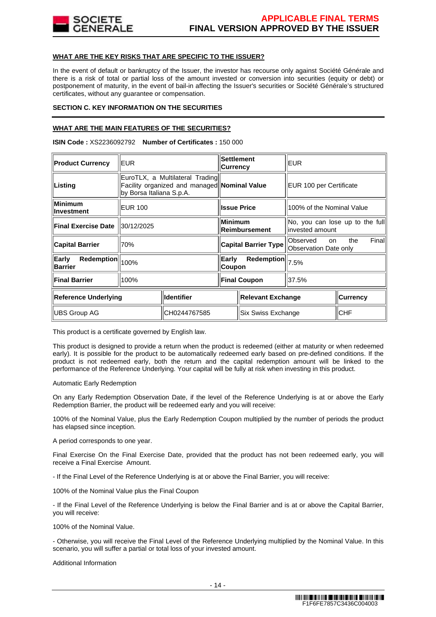

# **WHAT ARE THE KEY RISKS THAT ARE SPECIFIC TO THE ISSUER?**

In the event of default or bankruptcy of the Issuer, the investor has recourse only against Société Générale and there is a risk of total or partial loss of the amount invested or conversion into securities (equity or debt) or postponement of maturity, in the event of bail-in affecting the Issuer's securities or Société Générale's structured certificates, without any guarantee or compensation.

# **SECTION C. KEY INFORMATION ON THE SECURITIES**

# **WHAT ARE THE MAIN FEATURES OF THE SECURITIES?**

**ISIN Code :** XS2236092792 **Number of Certificates :** 150 000

| <b>Product Currency</b>                      | EUR.                                                                                                        |                   | <b>Settlement</b><br><b>Currency</b>   |                 | EUR                                                      |  |
|----------------------------------------------|-------------------------------------------------------------------------------------------------------------|-------------------|----------------------------------------|-----------------|----------------------------------------------------------|--|
| Listing                                      | EuroTLX, a Multilateral Trading<br>Facility organized and managed Nominal Value<br>by Borsa Italiana S.p.A. |                   |                                        |                 | EUR 100 per Certificate                                  |  |
| Minimum<br>llnvestment                       | <b>EUR 100</b>                                                                                              |                   | <b>Issue Price</b>                     |                 | 100% of the Nominal Value                                |  |
| <b>Final Exercise Date</b>                   | 30/12/2025                                                                                                  |                   | <b>Minimum</b><br><b>Reimbursement</b> |                 | No, you can lose up to the full<br>linvested amount      |  |
| <b>Capital Barrier</b>                       | 70%                                                                                                         |                   | <b>Capital Barrier Type</b>            |                 | Finall<br>Observed<br>the<br>on<br>Observation Date only |  |
| Early<br><b>Redemption</b><br><b>Barrier</b> | 100%                                                                                                        |                   | Redemption<br>Early<br>Coupon          |                 | 7.5%                                                     |  |
| <b>Final Barrier</b>                         | 100%                                                                                                        |                   | <b>Final Coupon</b>                    |                 | 37.5%                                                    |  |
| Identifier<br><b>Reference Underlying</b>    |                                                                                                             | Relevant Exchange |                                        | <b>Currency</b> |                                                          |  |
| <b>IUBS Group AG</b>                         |                                                                                                             | CH0244767585      | Six Swiss Exchange                     |                 | <b>CHF</b>                                               |  |

This product is a certificate governed by English law.

This product is designed to provide a return when the product is redeemed (either at maturity or when redeemed early). It is possible for the product to be automatically redeemed early based on pre-defined conditions. If the product is not redeemed early, both the return and the capital redemption amount will be linked to the performance of the Reference Underlying. Your capital will be fully at risk when investing in this product.

Automatic Early Redemption

On any Early Redemption Observation Date, if the level of the Reference Underlying is at or above the Early Redemption Barrier, the product will be redeemed early and you will receive:

100% of the Nominal Value, plus the Early Redemption Coupon multiplied by the number of periods the product has elapsed since inception.

A period corresponds to one year.

Final Exercise On the Final Exercise Date, provided that the product has not been redeemed early, you will receive a Final Exercise Amount.

- If the Final Level of the Reference Underlying is at or above the Final Barrier, you will receive:

100% of the Nominal Value plus the Final Coupon

- If the Final Level of the Reference Underlying is below the Final Barrier and is at or above the Capital Barrier, you will receive:

100% of the Nominal Value.

- Otherwise, you will receive the Final Level of the Reference Underlying multiplied by the Nominal Value. In this scenario, you will suffer a partial or total loss of your invested amount.

Additional Information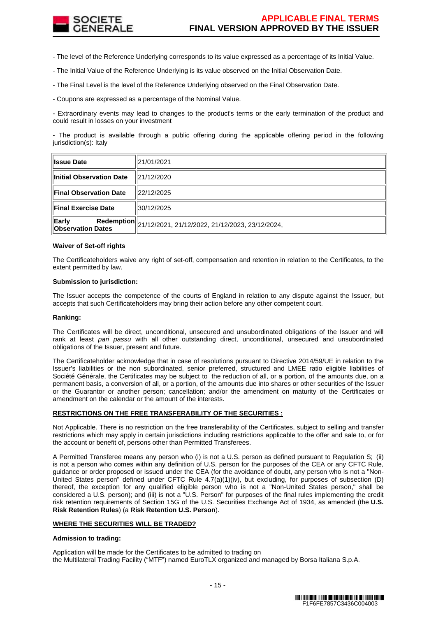

- The level of the Reference Underlying corresponds to its value expressed as a percentage of its Initial Value.

- The Initial Value of the Reference Underlying is its value observed on the Initial Observation Date.

- The Final Level is the level of the Reference Underlying observed on the Final Observation Date.

- Coupons are expressed as a percentage of the Nominal Value.

- Extraordinary events may lead to changes to the product's terms or the early termination of the product and could result in losses on your investment

- The product is available through a public offering during the applicable offering period in the following jurisdiction(s): Italy

| <b>Issue Date</b>                 | 21/01/2021                                                 |
|-----------------------------------|------------------------------------------------------------|
| Initial Observation Date          | 121/12/2020                                                |
| <b>Final Observation Date</b>     | l22/12/2025                                                |
| <b>Final Exercise Date</b>        | 30/12/2025                                                 |
| Early<br><b>Observation Dates</b> | Redemption 21/12/2021, 21/12/2022, 21/12/2023, 23/12/2024, |

#### **Waiver of Set-off rights**

The Certificateholders waive any right of set-off, compensation and retention in relation to the Certificates, to the extent permitted by law.

#### **Submission to jurisdiction:**

The Issuer accepts the competence of the courts of England in relation to any dispute against the Issuer, but accepts that such Certificateholders may bring their action before any other competent court.

#### **Ranking:**

The Certificates will be direct, unconditional, unsecured and unsubordinated obligations of the Issuer and will rank at least pari passu with all other outstanding direct, unconditional, unsecured and unsubordinated obligations of the Issuer, present and future.

The Certificateholder acknowledge that in case of resolutions pursuant to Directive 2014/59/UE in relation to the Issuer's liabilities or the non subordinated, senior preferred, structured and LMEE ratio eligible liabilities of Société Générale, the Certificates may be subject to the reduction of all, or a portion, of the amounts due, on a permanent basis, a conversion of all, or a portion, of the amounts due into shares or other securities of the Issuer or the Guarantor or another person; cancellation; and/or the amendment on maturity of the Certificates or amendment on the calendar or the amount of the interests.

# **RESTRICTIONS ON THE FREE TRANSFERABILITY OF THE SECURITIES :**

Not Applicable. There is no restriction on the free transferability of the Certificates, subject to selling and transfer restrictions which may apply in certain jurisdictions including restrictions applicable to the offer and sale to, or for the account or benefit of, persons other than Permitted Transferees.

A Permitted Transferee means any person who (i) is not a U.S. person as defined pursuant to Regulation S; (ii) is not a person who comes within any definition of U.S. person for the purposes of the CEA or any CFTC Rule, guidance or order proposed or issued under the CEA (for the avoidance of doubt, any person who is not a "Non-United States person" defined under CFTC Rule 4.7(a)(1)(iv), but excluding, for purposes of subsection (D) thereof, the exception for any qualified eligible person who is not a "Non-United States person," shall be considered a U.S. person); and (iii) is not a "U.S. Person" for purposes of the final rules implementing the credit risk retention requirements of Section 15G of the U.S. Securities Exchange Act of 1934, as amended (the **U.S. Risk Retention Rules**) (a **Risk Retention U.S. Person**).

#### **WHERE THE SECURITIES WILL BE TRADED?**

#### **Admission to trading:**

Application will be made for the Certificates to be admitted to trading on the Multilateral Trading Facility ("MTF") named EuroTLX organized and managed by Borsa Italiana S.p.A.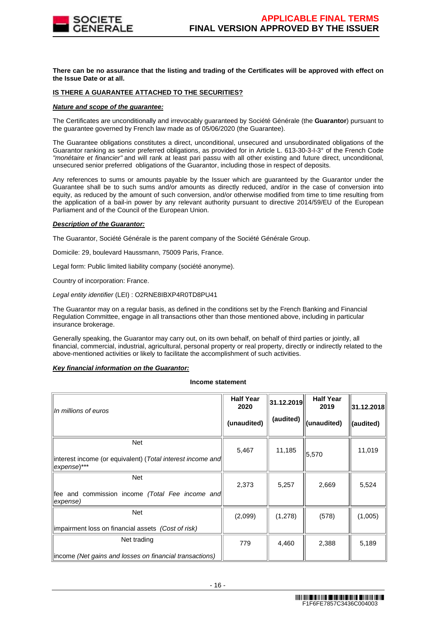

**There can be no assurance that the listing and trading of the Certificates will be approved with effect on the Issue Date or at all.**

#### **IS THERE A GUARANTEE ATTACHED TO THE SECURITIES?**

#### **Nature and scope of the guarantee:**

The Certificates are unconditionally and irrevocably guaranteed by Société Générale (the **Guarantor**) pursuant to the guarantee governed by French law made as of 05/06/2020 (the Guarantee).

The Guarantee obligations constitutes a direct, unconditional, unsecured and unsubordinated obligations of the Guarantor ranking as senior preferred obligations, as provided for in Article L. 613-30-3-I-3° of the French Code "monétaire et financier" and will rank at least pari passu with all other existing and future direct, unconditional, unsecured senior preferred obligations of the Guarantor, including those in respect of deposits.

Any references to sums or amounts payable by the Issuer which are guaranteed by the Guarantor under the Guarantee shall be to such sums and/or amounts as directly reduced, and/or in the case of conversion into equity, as reduced by the amount of such conversion, and/or otherwise modified from time to time resulting from the application of a bail-in power by any relevant authority pursuant to directive 2014/59/EU of the European Parliament and of the Council of the European Union.

# **Description of the Guarantor:**

The Guarantor, Société Générale is the parent company of the Société Générale Group.

Domicile: 29, boulevard Haussmann, 75009 Paris, France.

Legal form: Public limited liability company (société anonyme).

Country of incorporation: France.

Legal entity identifier (LEI) : O2RNE8IBXP4R0TD8PU41

The Guarantor may on a regular basis, as defined in the conditions set by the French Banking and Financial Regulation Committee, engage in all transactions other than those mentioned above, including in particular insurance brokerage.

Generally speaking, the Guarantor may carry out, on its own behalf, on behalf of third parties or jointly, all financial, commercial, industrial, agricultural, personal property or real property, directly or indirectly related to the above-mentioned activities or likely to facilitate the accomplishment of such activities.

#### **Key financial information on the Guarantor:**

#### **Income statement**

| In millions of euros                                                                    | <b>Half Year</b><br>2020<br>(unaudited) | 31.12.2019<br>(audited) | <b>Half Year</b><br>2019<br>(unaudited) | 31.12.2018 <br>(audited) |
|-----------------------------------------------------------------------------------------|-----------------------------------------|-------------------------|-----------------------------------------|--------------------------|
| <b>Net</b><br>interest income (or equivalent) (Total interest income and<br>expense)*** | 5,467                                   | 11,185                  | 5,570                                   | 11,019                   |
| Net<br>fee and commission income (Total Fee income and<br>expense)                      | 2,373                                   | 5,257                   | 2,669                                   | 5,524                    |
| Net<br>impairment loss on financial assets (Cost of risk)                               | (2,099)                                 | (1,278)                 | (578)                                   | (1,005)                  |
| Net trading<br>income (Net gains and losses on financial transactions)                  | 779                                     | 4,460                   | 2,388                                   | 5,189                    |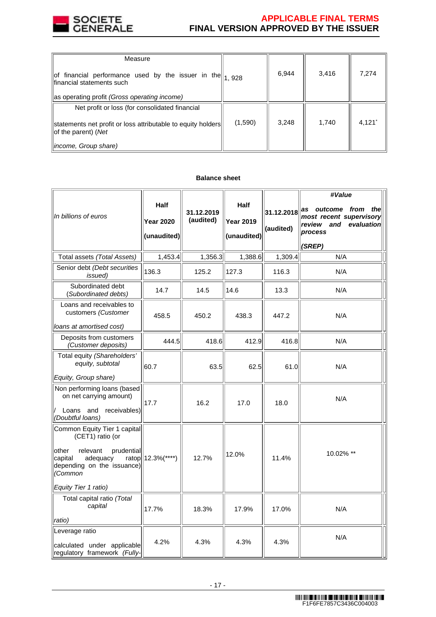

# **APPLICABLE FINAL TERMS FINAL VERSION APPROVED BY THE ISSUER**

| Measure                                                                                                                                                                                                                                                                                                                                      |         |       |       |                      |
|----------------------------------------------------------------------------------------------------------------------------------------------------------------------------------------------------------------------------------------------------------------------------------------------------------------------------------------------|---------|-------|-------|----------------------|
| $\left\ $ of financial performance used by the issuer in the $\left\  \begin{matrix} 1 & 0 & 0 \\ 1 & 0 & 2 & 0 \\ 0 & 0 & 0 & 0 \\ 0 & 0 & 0 & 0 \\ 0 & 0 & 0 & 0 \\ 0 & 0 & 0 & 0 \\ 0 & 0 & 0 & 0 \\ 0 & 0 & 0 & 0 \\ 0 & 0 & 0 & 0 \\ 0 & 0 & 0 & 0 \\ 0 & 0 & 0 & 0 \\ 0 & 0 & 0 & 0 \\ 0 & 0 & 0 & 0 \\ $<br>financial statements such |         | 6,944 | 3,416 | 7,274                |
| as operating profit (Gross operating income)                                                                                                                                                                                                                                                                                                 |         |       |       |                      |
| Net profit or loss (for consolidated financial                                                                                                                                                                                                                                                                                               |         |       |       |                      |
| statements net profit or loss attributable to equity holders<br>$ $ of the parent) (Net                                                                                                                                                                                                                                                      | (1,590) | 3,248 | 1,740 | $4,121$ <sup>*</sup> |
| <i>income, Group share)</i>                                                                                                                                                                                                                                                                                                                  |         |       |       |                      |

# **Balance sheet**

| In billions of euros                                                                                                                                | <b>Half</b><br><b>Year 2020</b><br>(unaudited) | 31.12.2019<br>(audited) | <b>Half</b><br><b>Year 2019</b><br>(unaudited) | 31.12.2018<br>(audited) | #Value<br>as outcome from<br>thel<br>most recent supervisory<br>review and<br>evaluation<br>process<br>(SREP) |
|-----------------------------------------------------------------------------------------------------------------------------------------------------|------------------------------------------------|-------------------------|------------------------------------------------|-------------------------|---------------------------------------------------------------------------------------------------------------|
| Total assets (Total Assets)                                                                                                                         | 1,453.4                                        | 1,356.3                 | 1,388.6                                        | 1,309.4                 | N/A                                                                                                           |
| Senior debt (Debt securities<br><i>issued</i> )                                                                                                     | 136.3                                          | 125.2                   | 127.3                                          | 116.3                   | N/A                                                                                                           |
| Subordinated debt<br>(Subordinated debts)                                                                                                           | 14.7                                           | 14.5                    | 14.6                                           | 13.3                    | N/A                                                                                                           |
| Loans and receivables to<br>customers (Customer<br>loans at amortised cost)                                                                         | 458.5                                          | 450.2                   | 438.3                                          | 447.2                   | N/A                                                                                                           |
| Deposits from customers<br>(Customer deposits)                                                                                                      | 444.5                                          | 418.6                   | 412.9                                          | 416.8                   | N/A                                                                                                           |
| Total equity (Shareholders'<br>equity, subtotal                                                                                                     | 60.7                                           | 63.5                    | 62.5                                           | 61.0                    | N/A                                                                                                           |
| Equity, Group share)                                                                                                                                |                                                |                         |                                                |                         |                                                                                                               |
| Non performing loans (based<br>on net carrying amount)<br>Loans and receivables)<br>(Doubtful loans)                                                | 17.7                                           | 16.2                    | 17.0                                           | 18.0                    | N/A                                                                                                           |
| Common Equity Tier 1 capital<br>(CET1) ratio (or<br>other<br>relevant<br>prudential<br>capital<br>adequacy<br>depending on the issuance)<br>(Common | ratop  12.3%(****)                             | 12.7%                   | 12.0%                                          | 11.4%                   | 10.02% **                                                                                                     |
| Equity Tier 1 ratio)                                                                                                                                |                                                |                         |                                                |                         |                                                                                                               |
| Total capital ratio (Total<br>capital<br>ratio)                                                                                                     | 17.7%                                          | 18.3%                   | 17.9%                                          | 17.0%                   | N/A                                                                                                           |
| Leverage ratio                                                                                                                                      |                                                |                         |                                                |                         |                                                                                                               |
| calculated under applicable<br>regulatory framework (Fully-                                                                                         | 4.2%                                           | 4.3%                    | 4.3%                                           | 4.3%                    | N/A                                                                                                           |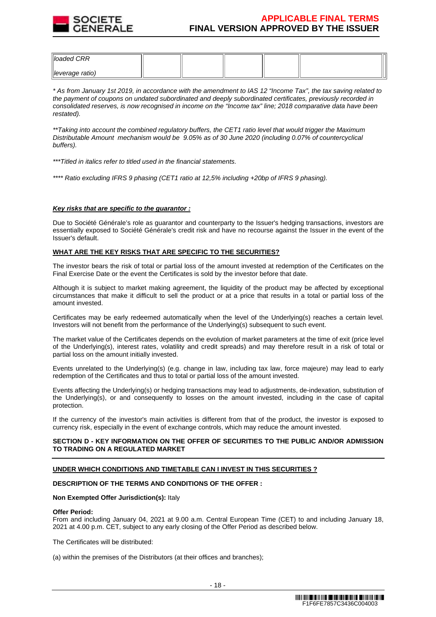

| $\parallel$ loaded CRR      |  |  |  |
|-----------------------------|--|--|--|
| $\parallel$ leverage ratio) |  |  |  |

\* As from January 1st 2019, in accordance with the amendment to IAS 12 "Income Tax", the tax saving related to the payment of coupons on undated subordinated and deeply subordinated certificates, previously recorded in consolidated reserves, is now recognised in income on the "Income tax" line; 2018 comparative data have been restated).

\*\*Taking into account the combined regulatory buffers, the CET1 ratio level that would trigger the Maximum Distributable Amount mechanism would be 9.05% as of 30 June 2020 (including 0.07% of countercyclical buffers).

\*\*\*Titled in italics refer to titled used in the financial statements.

\*\*\*\* Ratio excluding IFRS 9 phasing (CET1 ratio at 12,5% including +20bp of IFRS 9 phasing).

#### **Key risks that are specific to the guarantor :**

Due to Société Générale's role as guarantor and counterparty to the Issuer's hedging transactions, investors are essentially exposed to Société Générale's credit risk and have no recourse against the Issuer in the event of the Issuer's default.

#### **WHAT ARE THE KEY RISKS THAT ARE SPECIFIC TO THE SECURITIES?**

The investor bears the risk of total or partial loss of the amount invested at redemption of the Certificates on the Final Exercise Date or the event the Certificates is sold by the investor before that date.

Although it is subject to market making agreement, the liquidity of the product may be affected by exceptional circumstances that make it difficult to sell the product or at a price that results in a total or partial loss of the amount invested.

Certificates may be early redeemed automatically when the level of the Underlying(s) reaches a certain level. Investors will not benefit from the performance of the Underlying(s) subsequent to such event.

The market value of the Certificates depends on the evolution of market parameters at the time of exit (price level of the Underlying(s), interest rates, volatility and credit spreads) and may therefore result in a risk of total or partial loss on the amount initially invested.

Events unrelated to the Underlying(s) (e.g. change in law, including tax law, force majeure) may lead to early redemption of the Certificates and thus to total or partial loss of the amount invested.

Events affecting the Underlying(s) or hedging transactions may lead to adjustments, de-indexation, substitution of the Underlying(s), or and consequently to losses on the amount invested, including in the case of capital protection.

If the currency of the investor's main activities is different from that of the product, the investor is exposed to currency risk, especially in the event of exchange controls, which may reduce the amount invested.

# **SECTION D - KEY INFORMATION ON THE OFFER OF SECURITIES TO THE PUBLIC AND/OR ADMISSION TO TRADING ON A REGULATED MARKET**

# **UNDER WHICH CONDITIONS AND TIMETABLE CAN I INVEST IN THIS SECURITIES ?**

#### **DESCRIPTION OF THE TERMS AND CONDITIONS OF THE OFFER :**

#### **Non Exempted Offer Jurisdiction(s):** Italy

#### **Offer Period:**

From and including January 04, 2021 at 9.00 a.m. Central European Time (CET) to and including January 18, 2021 at 4.00 p.m. CET, subject to any early closing of the Offer Period as described below.

The Certificates will be distributed:

(a) within the premises of the Distributors (at their offices and branches);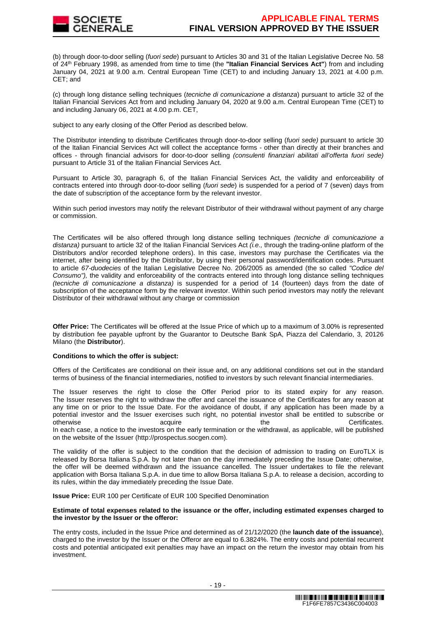

(b) through door-to-door selling (fuori sede) pursuant to Articles 30 and 31 of the Italian Legislative Decree No. 58 of 24th February 1998, as amended from time to time (the **"Italian Financial Services Act"**) from and including January 04, 2021 at 9.00 a.m. Central European Time (CET) to and including January 13, 2021 at 4.00 p.m. CET; and

(c) through long distance selling techniques (tecniche di comunicazione a distanza) pursuant to article 32 of the Italian Financial Services Act from and including January 04, 2020 at 9.00 a.m. Central European Time (CET) to and including January 06, 2021 at 4.00 p.m. CET,

subject to any early closing of the Offer Period as described below.

The Distributor intending to distribute Certificates through door-to-door selling (fuori sede) pursuant to article 30 of the Italian Financial Services Act will collect the acceptance forms - other than directly at their branches and offices - through financial advisors for door-to-door selling (consulenti finanziari abilitati all'offerta fuori sede) pursuant to Article 31 of the Italian Financial Services Act.

Pursuant to Article 30, paragraph 6, of the Italian Financial Services Act, the validity and enforceability of contracts entered into through door-to-door selling (fuori sede) is suspended for a period of 7 (seven) days from the date of subscription of the acceptance form by the relevant investor.

Within such period investors may notify the relevant Distributor of their withdrawal without payment of any charge or commission.

The Certificates will be also offered through long distance selling techniques (tecniche di comunicazione a distanza) pursuant to article 32 of the Italian Financial Services Act  $\ddot{\mu}$ . through the trading-online platform of the Distributors and/or recorded telephone orders). In this case, investors may purchase the Certificates via the internet, after being identified by the Distributor, by using their personal password/identification codes. Pursuant to article 67-duodecies of the Italian Legislative Decree No. 206/2005 as amended (the so called "Codice del Consumo"), the validity and enforceability of the contracts entered into through long distance selling techniques (tecniche di comunicazione a distanza) is suspended for a period of 14 (fourteen) days from the date of subscription of the acceptance form by the relevant investor. Within such period investors may notify the relevant Distributor of their withdrawal without any charge or commission

**Offer Price:** The Certificates will be offered at the Issue Price of which up to a maximum of 3.00% is represented by distribution fee payable upfront by the Guarantor to Deutsche Bank SpA, Piazza del Calendario, 3, 20126 Milano (the **Distributor**).

# **Conditions to which the offer is subject:**

Offers of the Certificates are conditional on their issue and, on any additional conditions set out in the standard terms of business of the financial intermediaries, notified to investors by such relevant financial intermediaries.

The Issuer reserves the right to close the Offer Period prior to its stated expiry for any reason. The Issuer reserves the right to withdraw the offer and cancel the issuance of the Certificates for any reason at any time on or prior to the Issue Date. For the avoidance of doubt, if any application has been made by a potential investor and the Issuer exercises such right, no potential investor shall be entitled to subscribe or otherwise acquire acquire the the Certificates.

In each case, a notice to the investors on the early termination or the withdrawal, as applicable, will be published on the website of the Issuer (http://prospectus.socgen.com).

The validity of the offer is subject to the condition that the decision of admission to trading on EuroTLX is released by Borsa Italiana S.p.A. by not later than on the day immediately preceding the Issue Date; otherwise, the offer will be deemed withdrawn and the issuance cancelled. The Issuer undertakes to file the relevant application with Borsa Italiana S.p.A. in due time to allow Borsa Italiana S.p.A. to release a decision, according to its rules, within the day immediately preceding the Issue Date.

**Issue Price:** EUR 100 per Certificate of EUR 100 Specified Denomination

#### **Estimate of total expenses related to the issuance or the offer, including estimated expenses charged to the investor by the Issuer or the offeror:**

The entry costs, included in the Issue Price and determined as of 21/12/2020 (the **launch date of the issuance**), charged to the investor by the Issuer or the Offeror are equal to 6.3824%. The entry costs and potential recurrent costs and potential anticipated exit penalties may have an impact on the return the investor may obtain from his investment.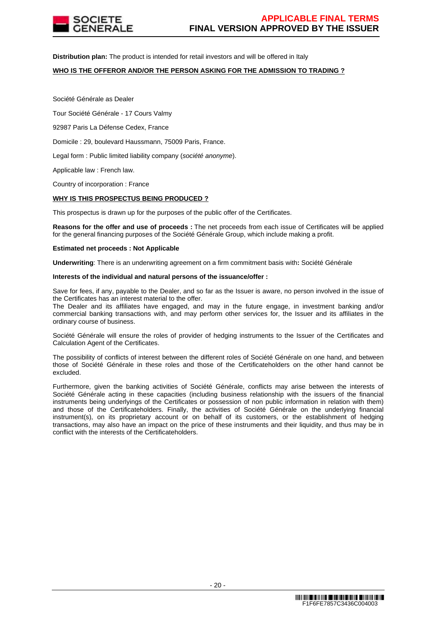

**Distribution plan:** The product is intended for retail investors and will be offered in Italy

# **WHO IS THE OFFEROR AND/OR THE PERSON ASKING FOR THE ADMISSION TO TRADING ?**

Société Générale as Dealer

Tour Société Générale - 17 Cours Valmy

92987 Paris La Défense Cedex, France

Domicile : 29, boulevard Haussmann, 75009 Paris, France.

Legal form : Public limited liability company (société anonyme).

Applicable law : French law.

Country of incorporation : France

# **WHY IS THIS PROSPECTUS BEING PRODUCED ?**

This prospectus is drawn up for the purposes of the public offer of the Certificates.

**Reasons for the offer and use of proceeds :** The net proceeds from each issue of Certificates will be applied for the general financing purposes of the Société Générale Group, which include making a profit.

#### **Estimated net proceeds : Not Applicable**

**Underwriting**: There is an underwriting agreement on a firm commitment basis with**:** Société Générale

#### **Interests of the individual and natural persons of the issuance/offer :**

Save for fees, if any, payable to the Dealer, and so far as the Issuer is aware, no person involved in the issue of the Certificates has an interest material to the offer.

The Dealer and its affiliates have engaged, and may in the future engage, in investment banking and/or commercial banking transactions with, and may perform other services for, the Issuer and its affiliates in the ordinary course of business.

Société Générale will ensure the roles of provider of hedging instruments to the Issuer of the Certificates and Calculation Agent of the Certificates.

The possibility of conflicts of interest between the different roles of Société Générale on one hand, and between those of Société Générale in these roles and those of the Certificateholders on the other hand cannot be excluded.

Furthermore, given the banking activities of Société Générale, conflicts may arise between the interests of Société Générale acting in these capacities (including business relationship with the issuers of the financial instruments being underlyings of the Certificates or possession of non public information in relation with them) and those of the Certificateholders. Finally, the activities of Société Générale on the underlying financial instrument(s), on its proprietary account or on behalf of its customers, or the establishment of hedging transactions, may also have an impact on the price of these instruments and their liquidity, and thus may be in conflict with the interests of the Certificateholders.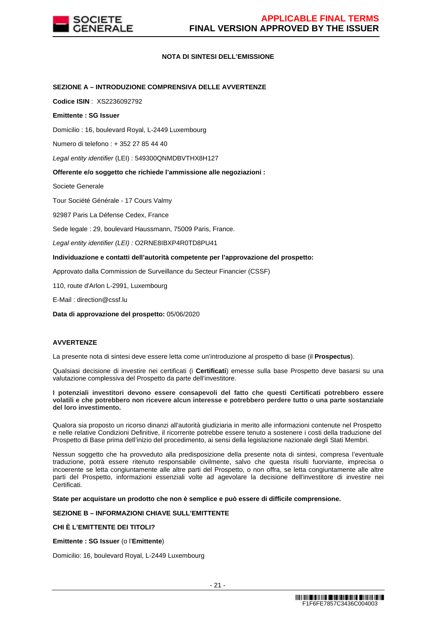

# **NOTA DI SINTESI DELL'EMISSIONE**

# **SEZIONE A – INTRODUZIONE COMPRENSIVA DELLE AVVERTENZE**

**Codice ISIN** : XS2236092792

#### **Emittente : SG Issuer**

Domicilio : 16, boulevard Royal, L-2449 Luxembourg

Numero di telefono : + 352 27 85 44 40

Legal entity identifier (LEI) : 549300QNMDBVTHX8H127

# **Offerente e/o soggetto che richiede l'ammissione alle negoziazioni :**

Societe Generale

Tour Société Générale - 17 Cours Valmy

92987 Paris La Défense Cedex, France

Sede legale : 29, boulevard Haussmann, 75009 Paris, France.

Legal entity identifier (LEI) : O2RNE8IBXP4R0TD8PU41

# **Individuazione e contatti dell'autorità competente per l'approvazione del prospetto:**

Approvato dalla Commission de Surveillance du Secteur Financier (CSSF)

110, route d'Arlon L-2991, Luxembourg

E-Mail : direction@cssf.lu

**Data di approvazione del prospetto:** 05/06/2020

# **AVVERTENZE**

La presente nota di sintesi deve essere letta come un'introduzione al prospetto di base (il **Prospectus**).

Qualsiasi decisione di investire nei certificati (i **Certificati**) emesse sulla base Prospetto deve basarsi su una valutazione complessiva del Prospetto da parte dell'investitore.

#### **I potenziali investitori devono essere consapevoli del fatto che questi Certificati potrebbero essere volatili e che potrebbero non ricevere alcun interesse e potrebbero perdere tutto o una parte sostanziale del loro investimento.**

Qualora sia proposto un ricorso dinanzi all'autorità giudiziaria in merito alle informazioni contenute nel Prospetto e nelle relative Condizioni Definitive, il ricorrente potrebbe essere tenuto a sostenere i costi della traduzione del Prospetto di Base prima dell'inizio del procedimento, ai sensi della legislazione nazionale degli Stati Membri.

Nessun soggetto che ha provveduto alla predisposizione della presente nota di sintesi, compresa l'eventuale traduzione, potrà essere ritenuto responsabile civilmente, salvo che questa risulti fuorviante, imprecisa o incoerente se letta congiuntamente alle altre parti del Prospetto, o non offra, se letta congiuntamente alle altre parti del Prospetto, informazioni essenziali volte ad agevolare la decisione dell'investitore di investire nei Certificati.

**State per acquistare un prodotto che non è semplice e può essere di difficile comprensione.**

# **SEZIONE B – INFORMAZIONI CHIAVE SULL'EMITTENTE**

# **CHI È L'EMITTENTE DEI TITOLI?**

**Emittente : SG Issuer** (o l'**Emittente**)

Domicilio: 16, boulevard Royal, L-2449 Luxembourg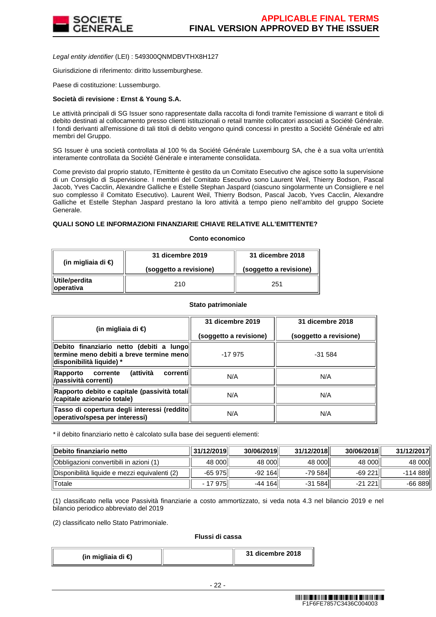

Legal entity identifier (LEI) : 549300QNMDBVTHX8H127

Giurisdizione di riferimento: diritto lussemburghese.

Paese di costituzione: Lussemburgo.

#### **Società di revisione : Ernst & Young S.A.**

Le attività principali di SG Issuer sono rappresentate dalla raccolta di fondi tramite l'emissione di warrant e titoli di debito destinati al collocamento presso clienti istituzionali o retail tramite collocatori associati a Société Générale. I fondi derivanti all'emissione di tali titoli di debito vengono quindi concessi in prestito a Société Générale ed altri membri del Gruppo.

SG Issuer è una società controllata al 100 % da Société Générale Luxembourg SA, che è a sua volta un'entità interamente controllata da Société Générale e interamente consolidata.

Come previsto dal proprio statuto, l'Emittente è gestito da un Comitato Esecutivo che agisce sotto la supervisione di un Consiglio di Supervisione. I membri del Comitato Esecutivo sono Laurent Weil, Thierry Bodson, Pascal Jacob, Yves Cacclin, Alexandre Galliche e Estelle Stephan Jaspard (ciascuno singolarmente un Consigliere e nel suo complesso il Comitato Esecutivo). Laurent Weil, Thierry Bodson, Pascal Jacob, Yves Cacclin, Alexandre Galliche et Estelle Stephan Jaspard prestano la loro attività a tempo pieno nell'ambito del gruppo Societe Generale.

# **QUALI SONO LE INFORMAZIONI FINANZIARIE CHIAVE RELATIVE ALL'EMITTENTE?**

#### **Conto economico**

| (in migliaia di $\epsilon$ ) | 31 dicembre 2019       | 31 dicembre 2018       |  |
|------------------------------|------------------------|------------------------|--|
|                              | (soggetto a revisione) | (soggetto a revisione) |  |
| Utile/perdita<br>∥operativa  | 210                    | 251                    |  |

#### **Stato patrimoniale**

| (in migliaia di €)                                                                                                 | 31 dicembre 2019       | 31 dicembre 2018       |
|--------------------------------------------------------------------------------------------------------------------|------------------------|------------------------|
|                                                                                                                    | (soggetto a revisione) | (soggetto a revisione) |
| Debito finanziario netto (debiti a lungo<br>termine meno debiti a breve termine meno l<br>disponibilità liquide) * | $-17975$               | $-31.584$              |
| <b>(attività</b><br>correntil<br>Rapporto<br>corrente<br>/passività correnti)                                      | N/A                    | N/A                    |
| Rapporto debito e capitale (passività totali  <br>/capitale azionario totale)                                      | N/A                    | N/A                    |
| Tasso di copertura degli interessi (reddito<br>operativo/spesa per interessi)                                      | N/A                    | N/A                    |

\* il debito finanziario netto è calcolato sulla base dei seguenti elementi:

| Debito finanziario netto                      | 31/12/2019 | 30/06/2019 | 31/12/2018 | 30/06/2018 | 31/12/2017 |
|-----------------------------------------------|------------|------------|------------|------------|------------|
| Obbligazioni convertibili in azioni (1)       | 48 000     | 48 000     | 48 000     | 48 000     | 48 000l    |
| Disponibilità liquide e mezzi equivalenti (2) | $-65975$   | $-92164$   | -79 584    | $-69221$   | -114 889l  |
| <b>Totale</b>                                 | - 17 975   | $-44164$   | $-31584$   | $-21221$   | -66 889    |

(1) classificato nella voce Passività finanziarie a costo ammortizzato, si veda nota 4.3 nel bilancio 2019 e nel bilancio periodico abbreviato del 2019

(2) classificato nello Stato Patrimoniale.

#### **Flussi di cassa**

| (in migliaia di €) |  | 31 dicembre 2018 |
|--------------------|--|------------------|
|--------------------|--|------------------|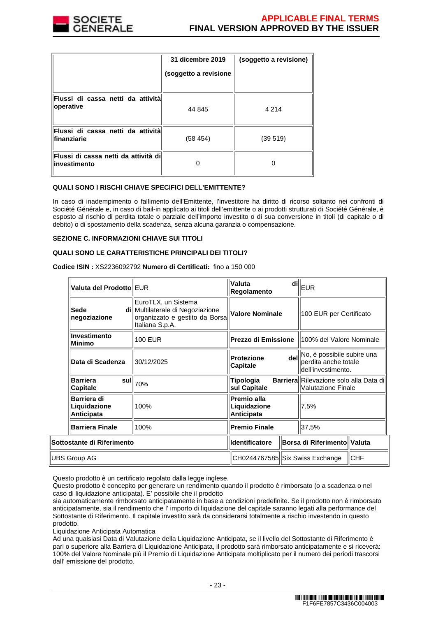

|                                                       | 31 dicembre 2019<br>(soggetto a revisione | (soggetto a revisione) |
|-------------------------------------------------------|-------------------------------------------|------------------------|
| Flussi di cassa netti da attività<br>operative        | 44 845                                    | 4 2 1 4                |
| Flussi di cassa netti da attività<br>finanziarie      | (58 454)                                  | (39519)                |
| Flussi di cassa netti da attività dil<br>investimento |                                           |                        |

# **QUALI SONO I RISCHI CHIAVE SPECIFICI DELL'EMITTENTE?**

In caso di inadempimento o fallimento dell'Emittente, l'investitore ha diritto di ricorso soltanto nei confronti di Société Générale e, in caso di bail-in applicato ai titoli dell'emittente o ai prodotti strutturati di Société Générale, è esposto al rischio di perdita totale o parziale dell'importo investito o di sua conversione in titoli (di capitale o di debito) o di spostamento della scadenza, senza alcuna garanzia o compensazione.

#### **SEZIONE C. INFORMAZIONI CHIAVE SUI TITOLI**

# **QUALI SONO LE CARATTERISTICHE PRINCIPALI DEI TITOLI?**

**Codice ISIN :** XS2236092792 **Numero di Certificati:** fino a 150 000

| Valuta del Prodotto EUR                          |                                                                                                              | Valuta<br>di<br>Regolamento                      |  | EUR                                                                          |            |
|--------------------------------------------------|--------------------------------------------------------------------------------------------------------------|--------------------------------------------------|--|------------------------------------------------------------------------------|------------|
| Sede<br>negoziazione                             | EuroTLX, un Sistema<br>di Multilaterale di Negoziazione<br>organizzato e gestito da Borsa<br>Italiana S.p.A. | <b>Valore Nominale</b>                           |  | 100 EUR per Certificato                                                      |            |
| Investimento<br>Minimo                           | <b>100 EUR</b>                                                                                               |                                                  |  | <b>Prezzo di Emissione</b>   100% del Valore Nominale                        |            |
| Data di Scadenza                                 | 30/12/2025                                                                                                   | <b>Protezione</b><br>Capitale                    |  | del No, è possibile subire una<br>perdita anche totale<br>dell'investimento. |            |
| <b>Barriera</b><br>sull<br><b>Capitale</b>       | 70%                                                                                                          | Tipologia<br>sul Capitale                        |  | <b>Barriera</b> Rilevazione solo alla Data dil<br><b>Valutazione Finale</b>  |            |
| Barriera di<br>Liquidazione<br><b>Anticipata</b> | 100%                                                                                                         | Premio alla<br>Liquidazione<br><b>Anticipata</b> |  | 7.5%                                                                         |            |
| <b>Barriera Finale</b>                           | 100%                                                                                                         | <b>Premio Finale</b>                             |  | 37,5%                                                                        |            |
| Sottostante di Riferimento                       |                                                                                                              | <b>Identificatore</b>                            |  | <b>Borsa di Riferimento Valuta</b>                                           |            |
| UBS Group AG                                     |                                                                                                              | CH0244767585  Six Swiss Exchange                 |  |                                                                              | <b>CHF</b> |

Questo prodotto è un certificato regolato dalla legge inglese.

Questo prodotto è concepito per generare un rendimento quando il prodotto è rimborsato (o a scadenza o nel caso di liquidazione anticipata). E' possibile che il prodotto

sia automaticamente rimborsato anticipatamente in base a condizioni predefinite. Se il prodotto non è rimborsato anticipatamente, sia il rendimento che l' importo di liquidazione del capitale saranno legati alla performance del Sottostante di Riferimento. Il capitale investito sarà da considerarsi totalmente a rischio investendo in questo prodotto.

Liquidazione Anticipata Automatica

Ad una qualsiasi Data di Valutazione della Liquidazione Anticipata, se il livello del Sottostante di Riferimento è pari o superiore alla Barriera di Liquidazione Anticipata, il prodotto sarà rimborsato anticipatamente e si riceverà: 100% del Valore Nominale più il Premio di Liquidazione Anticipata moltiplicato per il numero dei periodi trascorsi dall' emissione del prodotto.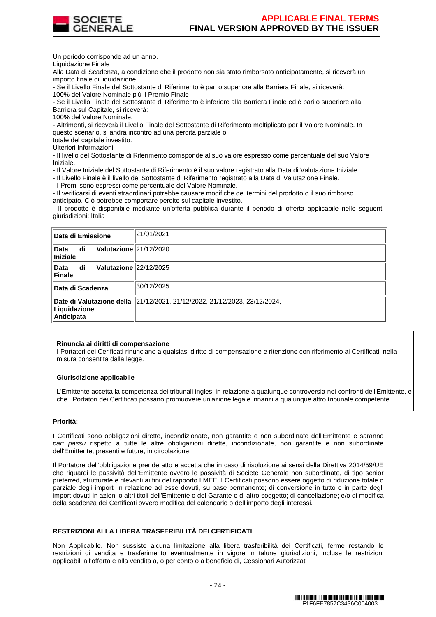

Un periodo corrisponde ad un anno.

Liquidazione Finale

Alla Data di Scadenza, a condizione che il prodotto non sia stato rimborsato anticipatamente, si riceverà un importo finale di liquidazione.

- Se il Livello Finale del Sottostante di Riferimento è pari o superiore alla Barriera Finale, si riceverà: 100% del Valore Nominale più il Premio Finale

- Se il Livello Finale del Sottostante di Riferimento è inferiore alla Barriera Finale ed è pari o superiore alla Barriera sul Capitale, si riceverà:

100% del Valore Nominale.

- Altrimenti, si riceverà il Livello Finale del Sottostante di Riferimento moltiplicato per il Valore Nominale. In questo scenario, si andrà incontro ad una perdita parziale o

totale del capitale investito.

Ulteriori Informazioni

- Il livello del Sottostante di Riferimento corrisponde al suo valore espresso come percentuale del suo Valore Iniziale.

- Il Valore Iniziale del Sottostante di Riferimento è il suo valore registrato alla Data di Valutazione Iniziale.

- Il Livello Finale è il livello del Sottostante di Riferimento registrato alla Data di Valutazione Finale.

- I Premi sono espressi come percentuale del Valore Nominale.

- Il verificarsi di eventi straordinari potrebbe causare modifiche dei termini del prodotto o il suo rimborso anticipato. Ciò potrebbe comportare perdite sul capitale investito.

- Il prodotto è disponibile mediante un'offerta pubblica durante il periodo di offerta applicabile nelle seguenti giurisdizioni: Italia

| ∥Data di Emissione                                     | 21/01/2021                                                                  |
|--------------------------------------------------------|-----------------------------------------------------------------------------|
| Valutazione 21/12/2020<br>∥Data<br>di<br>$\ $ Iniziale |                                                                             |
| Valutazione 22/12/2025<br>∥Data<br>di<br>∥Finale       |                                                                             |
| ∥Data di Scadenza                                      | 30/12/2025                                                                  |
| ∥Liquidazione<br><b>Anticipata</b>                     | Date di Valutazione della   21/12/2021, 21/12/2022, 21/12/2023, 23/12/2024, |

#### **Rinuncia ai diritti di compensazione**

I Portatori dei Cerificati rinunciano a qualsiasi diritto di compensazione e ritenzione con riferimento ai Certificati, nella misura consentita dalla legge.

#### **Giurisdizione applicabile**

L'Emittente accetta la competenza dei tribunali inglesi in relazione a qualunque controversia nei confronti dell'Emittente, e che i Portatori dei Certificati possano promuovere un'azione legale innanzi a qualunque altro tribunale competente.

# **Priorità:**

I Certificati sono obbligazioni dirette, incondizionate, non garantite e non subordinate dell'Emittente e saranno pari passu rispetto a tutte le altre obbligazioni dirette, incondizionate, non garantite e non subordinate dell'Emittente, presenti e future, in circolazione.

Il Portatore dell'obbligazione prende atto e accetta che in caso di risoluzione ai sensi della Direttiva 2014/59/UE che riguardi le passività dell'Emittente ovvero le passività di Societe Generale non subordinate, di tipo senior preferred, strutturate e rilevanti ai fini del rapporto LMEE, I Certificati possono essere oggetto di riduzione totale o parziale degli importi in relazione ad esse dovuti, su base permanente; di conversione in tutto o in parte degli import dovuti in azioni o altri titoli dell'Emittente o del Garante o di altro soggetto; di cancellazione; e/o di modifica della scadenza dei Certificati ovvero modifica del calendario o dell'importo degli interessi.

# **RESTRIZIONI ALLA LIBERA TRASFERIBILITÀ DEI CERTIFICATI**

Non Applicabile. Non sussiste alcuna limitazione alla libera trasferibilità dei Certificati, ferme restando le restrizioni di vendita e trasferimento eventualmente in vigore in talune giurisdizioni, incluse le restrizioni applicabili all'offerta e alla vendita a, o per conto o a beneficio di, Cessionari Autorizzati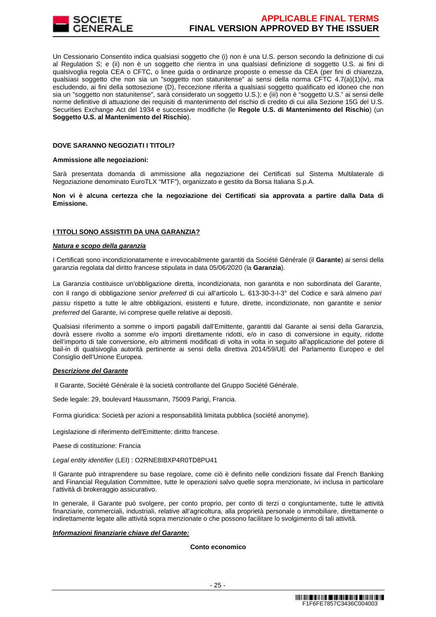

Un Cessionario Consentito indica qualsiasi soggetto che (i) non è una U.S. person secondo la definizione di cui al Regulation S; e (ii) non è un soggetto che rientra in una qualsiasi definizione di soggetto U.S. ai fini di qualsivoglia regola CEA o CFTC, o linee guida o ordinanze proposte o emesse da CEA (per fini di chiarezza, qualsiasi soggetto che non sia un "soggetto non statunitense" ai sensi della norma CFTC 4.7(a)(1)(iv), ma escludendo, ai fini della sottosezione (D), l'eccezione riferita a qualsiasi soggetto qualificato ed idoneo che non sia un "soggetto non statunitense", sarà considerato un soggetto U.S.); e (iii) non è "soggetto U.S." ai sensi delle norme definitive di attuazione dei requisiti di mantenimento del rischio di credito di cui alla Sezione 15G del U.S. Securities Exchange Act del 1934 e successive modifiche (le **Regole U.S. di Mantenimento del Rischio**) (un **Soggetto U.S. al Mantenimento del Rischio**).

#### **DOVE SARANNO NEGOZIATI I TITOLI?**

#### **Ammissione alle negoziazioni:**

Sarà presentata domanda di ammissione alla negoziazione dei Certificati sul Sistema Multilaterale di Negoziazione denominato EuroTLX "MTF"), organizzato e gestito da Borsa Italiana S.p.A.

**Non vi è alcuna certezza che la negoziazione dei Certificati sia approvata a partire dalla Data di Emissione.**

# **I TITOLI SONO ASSISTITI DA UNA GARANZIA?**

#### **Natura e scopo della garanzia**

I Certificati sono incondizionatamente e irrevocabilmente garantiti da Société Générale (il **Garante**) ai sensi della garanzia regolata dal diritto francese stipulata in data 05/06/2020 (la **Garanzia**).

La Garanzia costituisce un'obbligazione diretta, incondizionata, non garantita e non subordinata del Garante, con il rango di obbligazione senior preferred di cui all'articolo L. 613-30-3-I-3° del Codice e sarà almeno pari passu rispetto a tutte le altre obbligazioni, esistenti e future, dirette, incondizionate, non garantite e senior preferred del Garante, ivi comprese quelle relative ai depositi.

Qualsiasi riferimento a somme o importi pagabili dall'Emittente, garantiti dal Garante ai sensi della Garanzia, dovrà essere rivolto a somme e/o importi direttamente ridotti, e/o in caso di conversione in equity, ridotte dell'importo di tale conversione, e/o altrimenti modificati di volta in volta in seguito all'applicazione del potere di bail-in di qualsivoglia autorità pertinente ai sensi della direttiva 2014/59/UE del Parlamento Europeo e del Consiglio dell'Unione Europea.

#### **Descrizione del Garante**

Il Garante, Société Générale è la società controllante del Gruppo Société Générale.

Sede legale: 29, boulevard Haussmann, 75009 Parigi, Francia.

Forma giuridica: Società per azioni a responsabilità limitata pubblica (société anonyme).

Legislazione di riferimento dell'Emittente: diritto francese.

Paese di costituzione: Francia

Legal entity identifier (LEI) : O2RNE8IBXP4R0TD8PU41

Il Garante può intraprendere su base regolare, come ciò è definito nelle condizioni fissate dal French Banking and Financial Regulation Committee, tutte le operazioni salvo quelle sopra menzionate, ivi inclusa in particolare l'attività di brokeraggio assicurativo.

In generale, il Garante può svolgere, per conto proprio, per conto di terzi o congiuntamente, tutte le attività finanziarie, commerciali, industriali, relative all'agricoltura, alla proprietà personale o immobiliare, direttamente o indirettamente legate alle attività sopra menzionate o che possono facilitare lo svolgimento di tali attività.

#### **Informazioni finanziarie chiave del Garante:**

# **Conto economico**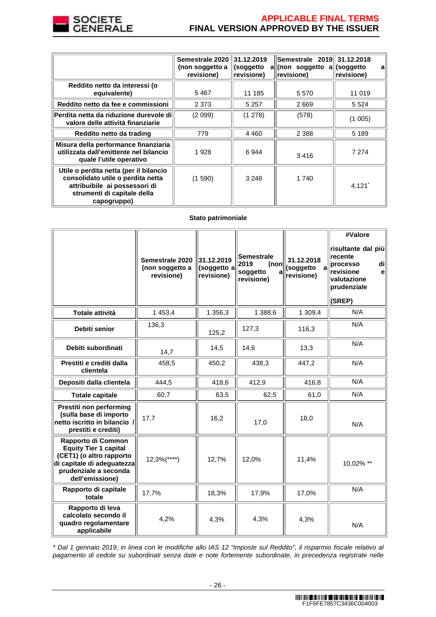

# **APPLICABLE FINAL TERMS FINAL VERSION APPROVED BY THE ISSUER**

|                                                                                                                                                            | Semestrale 2020 31.12.2019<br>(non soggetto a<br>revisione) | (soggetto<br>revisione) | Semestrale 2019 31.12.2018<br>all(non soggetto all<br>revisione) | (soggetto<br>a<br>revisione) |
|------------------------------------------------------------------------------------------------------------------------------------------------------------|-------------------------------------------------------------|-------------------------|------------------------------------------------------------------|------------------------------|
| Reddito netto da interessi (o<br>equivalente)                                                                                                              | 5467                                                        | 11 185                  | 5 5 7 0                                                          | 11 019                       |
| Reddito netto da fee e commissioni                                                                                                                         | 2 3 7 3                                                     | 5 2 5 7                 | 2669                                                             | 5 5 2 4                      |
| Perdita netta da riduzione durevole di<br>valore delle attività finanziarie                                                                                | (2 099)                                                     | (1278)                  | (578)                                                            | (1005)                       |
| Reddito netto da trading                                                                                                                                   | 779                                                         | 4 4 6 0                 | 2 3 8 8                                                          | 5 1 8 9                      |
| Misura della performance finanziaria<br>utilizzata dall'emittente nel bilancio<br>quale l'utile operativo                                                  | 1928                                                        | 6944                    | 3416                                                             | 7 2 7 4                      |
| Utile o perdita netta (per il bilancio<br>consolidato utile o perdita netta<br>attribuibile ai possessori di<br>strumenti di capitale della<br>capogruppo) | (1590)                                                      | 3 2 4 8                 | 1 740                                                            | 4,121'                       |

# **Stato patrimoniale**

|                                                                                                                                                          | Semestrale 2020<br>(non soggetto a<br>revisione) | 31.12.2019<br>(soggetto a<br>revisione) | <b>Semestrale</b><br>2019<br>(non<br>soggetto<br>a<br>revisione) | 31.12.2018<br>(soggetto<br>a<br>revisione) | #Valore<br>risultante dal più<br>recente<br>processo<br>di<br>revisione<br>e<br>valutazione<br>prudenziale<br>(SREP) |
|----------------------------------------------------------------------------------------------------------------------------------------------------------|--------------------------------------------------|-----------------------------------------|------------------------------------------------------------------|--------------------------------------------|----------------------------------------------------------------------------------------------------------------------|
| Totale attività                                                                                                                                          | 1 4 5 3, 4                                       | 1 356,3                                 | 1 388,6                                                          | 1 309,4                                    | N/A                                                                                                                  |
| Debiti senior                                                                                                                                            | 136,3                                            | 125,2                                   | 127,3                                                            | 116,3                                      | N/A                                                                                                                  |
| Debiti subordinati                                                                                                                                       | 14,7                                             | 14,5                                    | 14,6                                                             | 13,3                                       | N/A                                                                                                                  |
| Prestiti e crediti dalla<br>clientela                                                                                                                    | 458,5                                            | 450,2                                   | 438,3                                                            | 447,2                                      | N/A                                                                                                                  |
| Depositi dalla clientela                                                                                                                                 | 444,5                                            | 418,6                                   | 412,9                                                            | 416,8                                      | N/A                                                                                                                  |
| <b>Totale capitale</b>                                                                                                                                   | 60,7                                             | 63,5                                    | 62,5                                                             | 61,0                                       | N/A                                                                                                                  |
| Prestiti non performing<br>(sulla base di importo<br>netto iscritto in bilancio /<br>prestiti e crediti)                                                 | 17.7                                             | 16,2                                    | 17,0                                                             | 18,0                                       | N/A                                                                                                                  |
| Rapporto di Common<br><b>Equity Tier 1 capital</b><br>(CET1) (o altro rapporto<br>di capitale di adeguatezza<br>prudenziale a seconda<br>dell'emissione) | $12,3%$ (****)                                   | 12.7%                                   | 12,0%                                                            | 11,4%                                      | 10,02% **                                                                                                            |
| Rapporto di capitale<br>totale                                                                                                                           | 17,7%                                            | 18,3%                                   | 17,9%                                                            | 17,0%                                      | N/A                                                                                                                  |
| Rapporto di leva<br>calcolato secondo il<br>quadro regolamentare<br>applicabile                                                                          | 4,2%                                             | 4,3%                                    | 4,3%                                                             | 4,3%                                       | N/A                                                                                                                  |

\* Dal 1 gennaio 2019, in linea con le modifiche allo IAS 12 "Imposte sul Reddito", il risparmio fiscale relativo al pagamento di cedole su subordinati senza date e note fortemente subordinate, in precedenza registrate nelle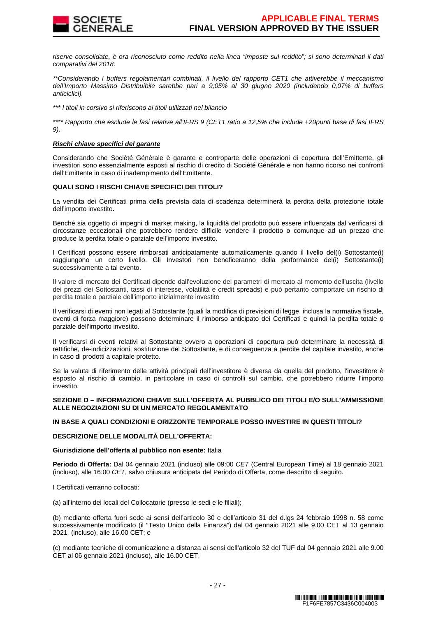

riserve consolidate, è ora riconosciuto come reddito nella linea "imposte sul reddito"; si sono determinati ii dati comparativi del 2018.

\*\*Considerando i buffers regolamentari combinati, il livello del rapporto CET1 che attiverebbe il meccanismo dell'Importo Massimo Distribuibile sarebbe pari a 9,05% al 30 giugno 2020 (includendo 0,07% di buffers anticiclici).

\*\*\* I titoli in corsivo si riferiscono ai titoli utilizzati nel bilancio

\*\*\*\* Rapporto che esclude le fasi relative all'IFRS 9 (CET1 ratio a 12,5% che include +20punti base di fasi IFRS 9).

#### **Rischi chiave specifici del garante**

Considerando che Société Générale è garante e controparte delle operazioni di copertura dell'Emittente, gli investitori sono essenzialmente esposti al rischio di credito di Société Générale e non hanno ricorso nei confronti dell'Emittente in caso di inadempimento dell'Emittente.

# **QUALI SONO I RISCHI CHIAVE SPECIFICI DEI TITOLI?**

La vendita dei Certificati prima della prevista data di scadenza determinerà la perdita della protezione totale dell'importo investito**.**

Benché sia oggetto di impegni di market making, la liquidità del prodotto può essere influenzata dal verificarsi di circostanze eccezionali che potrebbero rendere difficile vendere il prodotto o comunque ad un prezzo che produce la perdita totale o parziale dell'importo investito.

I Certificati possono essere rimborsati anticipatamente automaticamente quando il livello del(i) Sottostante(i) raggiungono un certo livello. Gli Investori non beneficeranno della performance del(i) Sottostante(i) successivamente a tal evento.

Il valore di mercato dei Certificati dipende dall'evoluzione dei parametri di mercato al momento dell'uscita (livello dei prezzi dei Sottostanti, tassi di interesse, volatilità e credit spreads) e può pertanto comportare un rischio di perdita totale o parziale dell'importo inizialmente investito

Il verificarsi di eventi non legati al Sottostante (quali la modifica di previsioni di legge, inclusa la normativa fiscale, eventi di forza maggiore) possono determinare il rimborso anticipato dei Certificati e quindi la perdita totale o parziale dell'importo investito.

Il verificarsi di eventi relativi al Sottostante ovvero a operazioni di copertura può determinare la necessità di rettifiche, de-indicizzazioni, sostituzione del Sottostante, e di conseguenza a perdite del capitale investito, anche in caso di prodotti a capitale protetto.

Se la valuta di riferimento delle attività principali dell'investitore è diversa da quella del prodotto, l'investitore è esposto al rischio di cambio, in particolare in caso di controlli sul cambio, che potrebbero ridurre l'importo investito.

#### **SEZIONE D – INFORMAZIONI CHIAVE SULL'OFFERTA AL PUBBLICO DEI TITOLI E/O SULL'AMMISSIONE ALLE NEGOZIAZIONI SU DI UN MERCATO REGOLAMENTATO**

# **IN BASE A QUALI CONDIZIONI E ORIZZONTE TEMPORALE POSSO INVESTIRE IN QUESTI TITOLI?**

# **DESCRIZIONE DELLE MODALITÀ DELL'OFFERTA:**

#### **Giurisdizione dell'offerta al pubblico non esente:** Italia

**Periodo di Offerta:** Dal 04 gennaio 2021 (incluso) alle 09:00 CET (Central European Time) al 18 gennaio 2021 (incluso), alle 16:00 CET, salvo chiusura anticipata del Periodo di Offerta, come descritto di seguito.

I Certificati verranno collocati:

(a) all'interno dei locali del Collocatorie (presso le sedi e le filiali);

(b) mediante offerta fuori sede ai sensi dell'articolo 30 e dell'articolo 31 del d.lgs 24 febbraio 1998 n. 58 come successivamente modificato (il "Testo Unico della Finanza") dal 04 gennaio 2021 alle 9.00 CET al 13 gennaio 2021 (incluso), alle 16.00 CET; e

(c) mediante tecniche di comunicazione a distanza ai sensi dell'articolo 32 del TUF dal 04 gennaio 2021 alle 9.00 CET al 06 gennaio 2021 (incluso), alle 16.00 CET,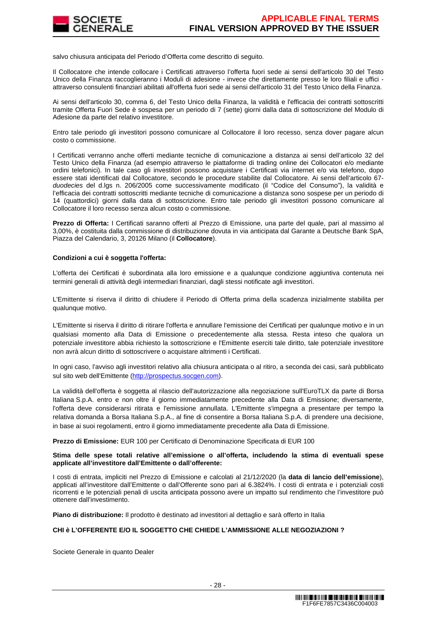

salvo chiusura anticipata del Periodo d'Offerta come descritto di seguito.

Il Collocatore che intende collocare i Certificati attraverso l'offerta fuori sede ai sensi dell'articolo 30 del Testo Unico della Finanza raccoglieranno i Moduli di adesione - invece che direttamente presso le loro filiali e uffici attraverso consulenti finanziari abilitati all'offerta fuori sede ai sensi dell'articolo 31 del Testo Unico della Finanza.

Ai sensi dell'articolo 30, comma 6, del Testo Unico della Finanza, la validità e l'efficacia dei contratti sottoscritti tramite Offerta Fuori Sede è sospesa per un periodo di 7 (sette) giorni dalla data di sottoscrizione del Modulo di Adesione da parte del relativo investitore.

Entro tale periodo gli investitori possono comunicare al Collocatore il loro recesso, senza dover pagare alcun costo o commissione.

I Certificati verranno anche offerti mediante tecniche di comunicazione a distanza ai sensi dell'articolo 32 del Testo Unico della Finanza (ad esempio attraverso le piattaforme di trading online dei Collocatori e/o mediante ordini telefonici). In tale caso gli investitori possono acquistare i Certificati via internet e/o via telefono, dopo essere stati identificati dal Collocatore, secondo le procedure stabilite dal Collocatore. Ai sensi dell'articolo 67 duodecies del d.lgs n. 206/2005 come successivamente modificato (il "Codice del Consumo"), la validità e l'efficacia dei contratti sottoscritti mediante tecniche di comunicazione a distanza sono sospese per un periodo di 14 (quattordici) giorni dalla data di sottoscrizione. Entro tale periodo gli investitori possono comunicare al Collocatore il loro recesso senza alcun costo o commissione.

**Prezzo di Offerta:** I Certificati saranno offerti al Prezzo di Emissione, una parte del quale, pari al massimo al 3,00%, è costituita dalla commissione di distribuzione dovuta in via anticipata dal Garante a Deutsche Bank SpA, Piazza del Calendario, 3, 20126 Milano (il **Collocatore**).

#### **Condizioni a cui è soggetta l'offerta:**

L'offerta dei Certificati è subordinata alla loro emissione e a qualunque condizione aggiuntiva contenuta nei termini generali di attività degli intermediari finanziari, dagli stessi notificate agli investitori.

L'Emittente si riserva il diritto di chiudere il Periodo di Offerta prima della scadenza inizialmente stabilita per qualunque motivo.

L'Emittente si riserva il diritto di ritirare l'offerta e annullare l'emissione dei Certificati per qualunque motivo e in un qualsiasi momento alla Data di Emissione o precedentemente alla stessa. Resta inteso che qualora un potenziale investitore abbia richiesto la sottoscrizione e l'Emittente eserciti tale diritto, tale potenziale investitore non avrà alcun diritto di sottoscrivere o acquistare altrimenti i Certificati.

In ogni caso, l'avviso agli investitori relativo alla chiusura anticipata o al ritiro, a seconda dei casi, sarà pubblicato sul sito web dell'Emittente (http://prospectus.socgen.com).

La validità dell'offerta è soggetta al rilascio dell'autorizzazione alla negoziazione sull'EuroTLX da parte di Borsa Italiana S.p.A. entro e non oltre il giorno immediatamente precedente alla Data di Emissione; diversamente, l'offerta deve considerarsi ritirata e l'emissione annullata. L'Emittente s'impegna a presentare per tempo la relativa domanda a Borsa Italiana S.p.A., al fine di consentire a Borsa Italiana S.p.A. di prendere una decisione, in base ai suoi regolamenti, entro il giorno immediatamente precedente alla Data di Emissione.

**Prezzo di Emissione:** EUR 100 per Certificato di Denominazione Specificata di EUR 100

#### **Stima delle spese totali relative all'emissione o all'offerta, includendo la stima di eventuali spese applicate all'investitore dall'Emittente o dall'offerente:**

I costi di entrata, impliciti nel Prezzo di Emissione e calcolati al 21/12/2020 (la **data di lancio dell'emissione**), applicati all'investitore dall'Emittente o dall'Offerente sono pari al 6.3824%. I costi di entrata e i potenziali costi ricorrenti e le potenziali penali di uscita anticipata possono avere un impatto sul rendimento che l'investitore può ottenere dall'investimento.

**Piano di distribuzione:** Il prodotto è destinato ad investitori al dettaglio e sarà offerto in Italia

# **CHI è L'OFFERENTE E/O IL SOGGETTO CHE CHIEDE L'AMMISSIONE ALLE NEGOZIAZIONI ?**

Societe Generale in quanto Dealer